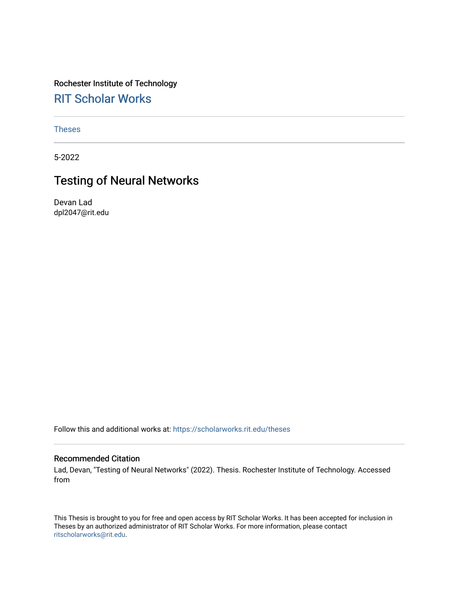### Rochester Institute of Technology [RIT Scholar Works](https://scholarworks.rit.edu/)

[Theses](https://scholarworks.rit.edu/theses) 

5-2022

### Testing of Neural Networks

Devan Lad dpl2047@rit.edu

Follow this and additional works at: [https://scholarworks.rit.edu/theses](https://scholarworks.rit.edu/theses?utm_source=scholarworks.rit.edu%2Ftheses%2F11139&utm_medium=PDF&utm_campaign=PDFCoverPages) 

#### Recommended Citation

Lad, Devan, "Testing of Neural Networks" (2022). Thesis. Rochester Institute of Technology. Accessed from

This Thesis is brought to you for free and open access by RIT Scholar Works. It has been accepted for inclusion in Theses by an authorized administrator of RIT Scholar Works. For more information, please contact [ritscholarworks@rit.edu](mailto:ritscholarworks@rit.edu).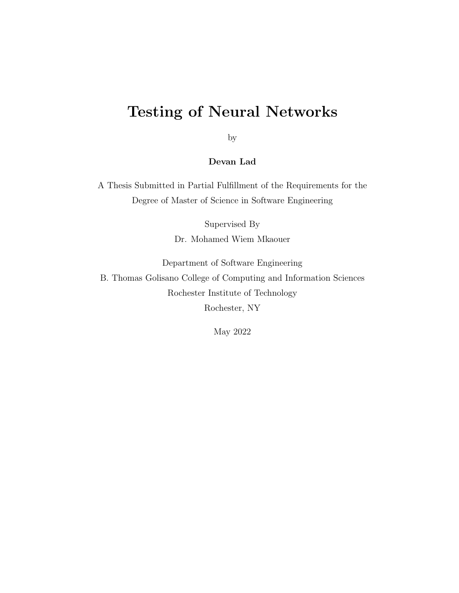### Testing of Neural Networks

by

Devan Lad

A Thesis Submitted in Partial Fulfillment of the Requirements for the Degree of Master of Science in Software Engineering

> Supervised By Dr. Mohamed Wiem Mkaouer

Department of Software Engineering B. Thomas Golisano College of Computing and Information Sciences Rochester Institute of Technology Rochester, NY

May 2022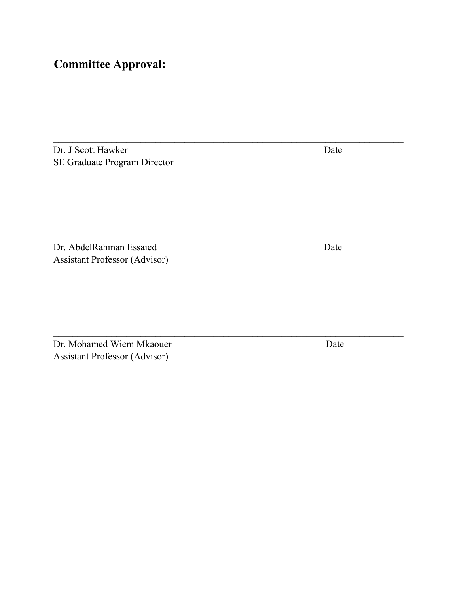### **Committee Approval:**

Dr. J Scott Hawker Date SE Graduate Program Director

Dr. AbdelRahman Essaied Date Assistant Professor (Advisor)

Dr. Mohamed Wiem Mkaouer Date Assistant Professor (Advisor)

 $\mathcal{L}_\text{max} = \frac{1}{2} \sum_{i=1}^n \mathcal{L}_\text{max}(\mathbf{z}_i - \mathbf{z}_i)$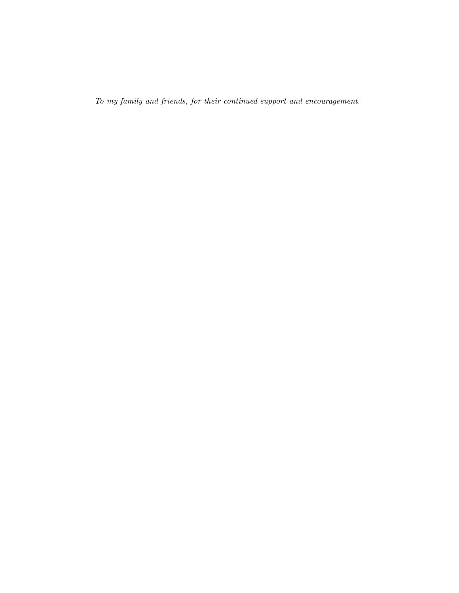To my family and friends, for their continued support and encouragement.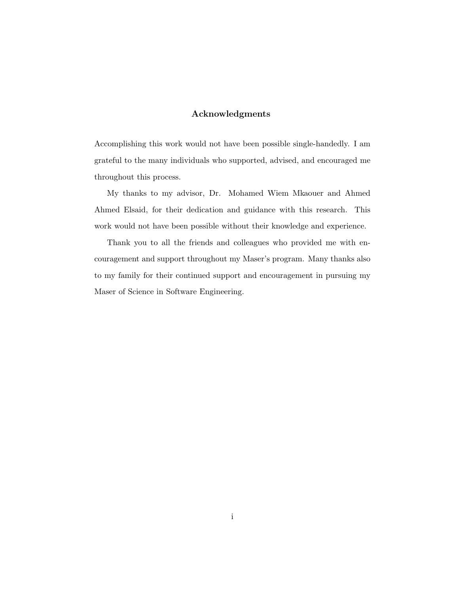#### Acknowledgments

Accomplishing this work would not have been possible single-handedly. I am grateful to the many individuals who supported, advised, and encouraged me throughout this process.

My thanks to my advisor, Dr. Mohamed Wiem Mkaouer and Ahmed Ahmed Elsaid, for their dedication and guidance with this research. This work would not have been possible without their knowledge and experience.

Thank you to all the friends and colleagues who provided me with encouragement and support throughout my Maser's program. Many thanks also to my family for their continued support and encouragement in pursuing my Maser of Science in Software Engineering.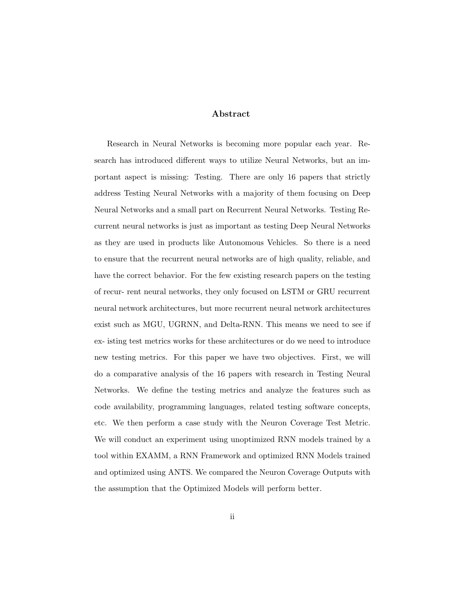#### Abstract

Research in Neural Networks is becoming more popular each year. Research has introduced different ways to utilize Neural Networks, but an important aspect is missing: Testing. There are only 16 papers that strictly address Testing Neural Networks with a majority of them focusing on Deep Neural Networks and a small part on Recurrent Neural Networks. Testing Recurrent neural networks is just as important as testing Deep Neural Networks as they are used in products like Autonomous Vehicles. So there is a need to ensure that the recurrent neural networks are of high quality, reliable, and have the correct behavior. For the few existing research papers on the testing of recur- rent neural networks, they only focused on LSTM or GRU recurrent neural network architectures, but more recurrent neural network architectures exist such as MGU, UGRNN, and Delta-RNN. This means we need to see if ex- isting test metrics works for these architectures or do we need to introduce new testing metrics. For this paper we have two objectives. First, we will do a comparative analysis of the 16 papers with research in Testing Neural Networks. We define the testing metrics and analyze the features such as code availability, programming languages, related testing software concepts, etc. We then perform a case study with the Neuron Coverage Test Metric. We will conduct an experiment using unoptimized RNN models trained by a tool within EXAMM, a RNN Framework and optimized RNN Models trained and optimized using ANTS. We compared the Neuron Coverage Outputs with the assumption that the Optimized Models will perform better.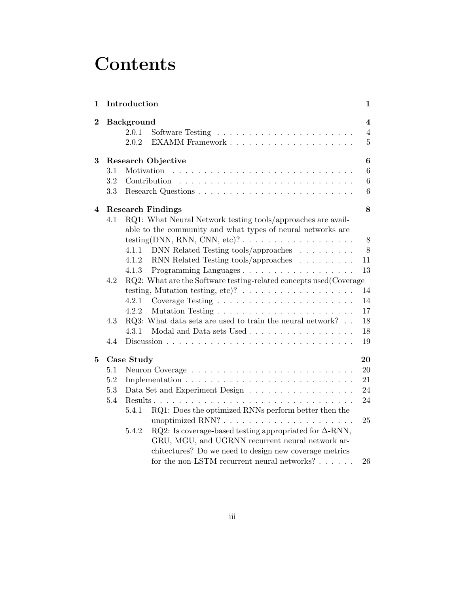## **Contents**

| 1              |     | Introduction                                                                 | 1                                            |
|----------------|-----|------------------------------------------------------------------------------|----------------------------------------------|
| $\bf{2}$       |     | <b>Background</b><br>2.0.1<br>2.0.2                                          | $\bf{4}$<br>$\overline{4}$<br>$\overline{5}$ |
| 3              |     | <b>Research Objective</b>                                                    | $\bf{6}$                                     |
|                | 3.1 | Motivation                                                                   | $6\phantom{.}6$                              |
|                | 3.2 |                                                                              | $\,6\,$                                      |
|                | 3.3 |                                                                              | $\,6\,$                                      |
| $\overline{4}$ |     | <b>Research Findings</b>                                                     | 8                                            |
|                | 4.1 | RQ1: What Neural Network testing tools/approaches are avail-                 |                                              |
|                |     | able to the community and what types of neural networks are                  |                                              |
|                |     | testing(DNN, RNN, CNN, etc)? $\ldots \ldots \ldots \ldots \ldots$            | $8\,$                                        |
|                |     | DNN Related Testing tools/approaches $\ldots \ldots \ldots$<br>4.1.1         | 8                                            |
|                |     | RNN Related Testing tools/approaches $\ldots \ldots \ldots$<br>4.1.2         | 11                                           |
|                |     | Programming Languages<br>4.1.3                                               | 13                                           |
|                | 4.2 | RQ2: What are the Software testing-related concepts used (Coverage           |                                              |
|                |     | testing, Mutation testing, etc)? $\ldots \ldots \ldots \ldots \ldots \ldots$ | 14                                           |
|                |     | 4.2.1                                                                        | 14                                           |
|                |     | 4.2.2                                                                        | 17                                           |
|                | 4.3 | RQ3: What data sets are used to train the neural network?                    | 18                                           |
|                |     | Modal and Data sets Used<br>4.3.1                                            | 18                                           |
|                | 4.4 |                                                                              | 19                                           |
| 5              |     | Case Study                                                                   | 20                                           |
|                | 5.1 |                                                                              | 20                                           |
|                | 5.2 |                                                                              | 21                                           |
|                | 5.3 | Data Set and Experiment Design                                               | 24                                           |
|                | 5.4 |                                                                              | 24                                           |
|                |     | RQ1: Does the optimized RNNs perform better then the<br>5.4.1                |                                              |
|                |     |                                                                              | 25                                           |
|                |     | RQ2: Is coverage-based testing appropriated for $\Delta$ -RNN,<br>5.4.2      |                                              |
|                |     | GRU, MGU, and UGRNN recurrent neural network ar-                             |                                              |
|                |     | chitectures? Do we need to design new coverage metrics                       |                                              |
|                |     | for the non-LSTM recurrent neural networks?                                  | 26                                           |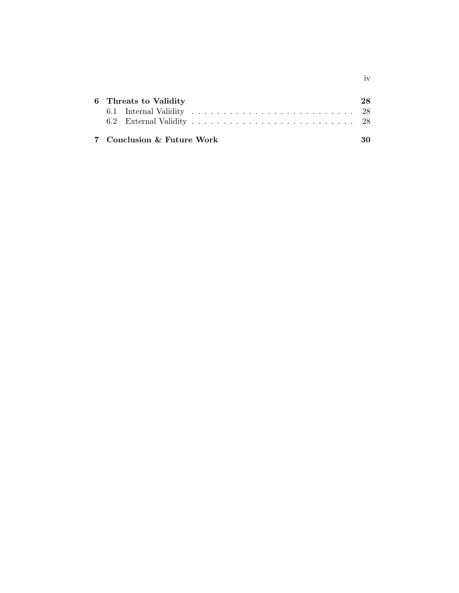| 6 Threats to Validity      | 28 |
|----------------------------|----|
|                            |    |
|                            |    |
| 7 Conclusion & Future Work |    |

iv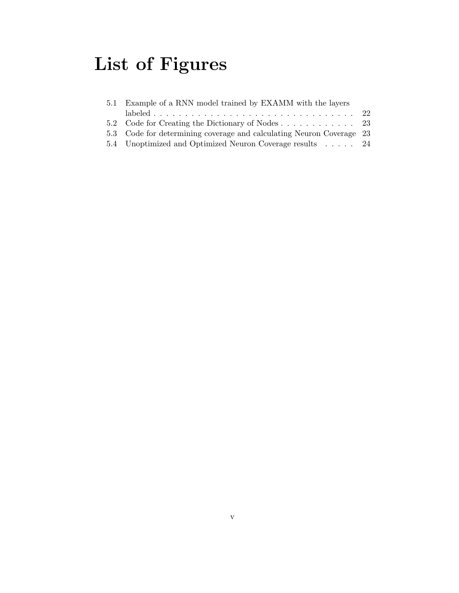# List of Figures

| 5.3 Code for determining coverage and calculating Neuron Coverage 23<br>5.4 Unoptimized and Optimized Neuron Coverage results 24 |
|----------------------------------------------------------------------------------------------------------------------------------|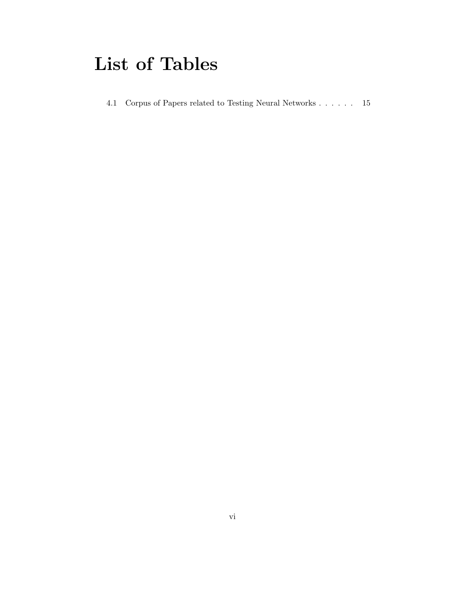## List of Tables

[4.1 Corpus of Papers related to Testing Neural Networks](#page-24-0) . . . . . . 15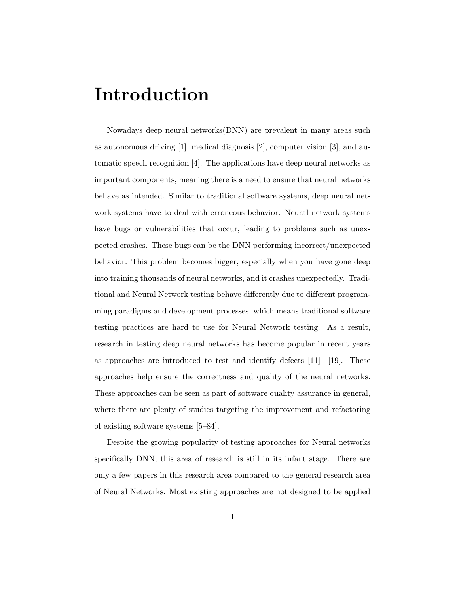## <span id="page-10-0"></span>Introduction

Nowadays deep neural networks(DNN) are prevalent in many areas such as autonomous driving [\[1\]](#page-41-0), medical diagnosis [\[2\]](#page-41-1), computer vision [\[3\]](#page-41-2), and automatic speech recognition [\[4\]](#page-41-3). The applications have deep neural networks as important components, meaning there is a need to ensure that neural networks behave as intended. Similar to traditional software systems, deep neural network systems have to deal with erroneous behavior. Neural network systems have bugs or vulnerabilities that occur, leading to problems such as unexpected crashes. These bugs can be the DNN performing incorrect/unexpected behavior. This problem becomes bigger, especially when you have gone deep into training thousands of neural networks, and it crashes unexpectedly. Traditional and Neural Network testing behave differently due to different programming paradigms and development processes, which means traditional software testing practices are hard to use for Neural Network testing. As a result, research in testing deep neural networks has become popular in recent years as approaches are introduced to test and identify defects  $[11]$ –  $[19]$ . These approaches help ensure the correctness and quality of the neural networks. These approaches can be seen as part of software quality assurance in general, where there are plenty of studies targeting the improvement and refactoring of existing software systems [\[5–](#page-41-4)[84\]](#page-51-0).

Despite the growing popularity of testing approaches for Neural networks specifically DNN, this area of research is still in its infant stage. There are only a few papers in this research area compared to the general research area of Neural Networks. Most existing approaches are not designed to be applied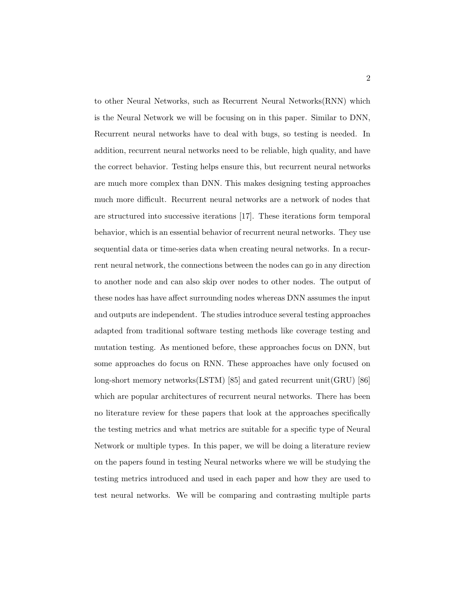to other Neural Networks, such as Recurrent Neural Networks(RNN) which is the Neural Network we will be focusing on in this paper. Similar to DNN, Recurrent neural networks have to deal with bugs, so testing is needed. In addition, recurrent neural networks need to be reliable, high quality, and have the correct behavior. Testing helps ensure this, but recurrent neural networks are much more complex than DNN. This makes designing testing approaches much more difficult. Recurrent neural networks are a network of nodes that are structured into successive iterations [17]. These iterations form temporal behavior, which is an essential behavior of recurrent neural networks. They use sequential data or time-series data when creating neural networks. In a recurrent neural network, the connections between the nodes can go in any direction to another node and can also skip over nodes to other nodes. The output of these nodes has have affect surrounding nodes whereas DNN assumes the input and outputs are independent. The studies introduce several testing approaches adapted from traditional software testing methods like coverage testing and mutation testing. As mentioned before, these approaches focus on DNN, but some approaches do focus on RNN. These approaches have only focused on long-short memory networks(LSTM) [\[85\]](#page-51-1) and gated recurrent unit(GRU) [\[86\]](#page-51-2) which are popular architectures of recurrent neural networks. There has been no literature review for these papers that look at the approaches specifically the testing metrics and what metrics are suitable for a specific type of Neural Network or multiple types. In this paper, we will be doing a literature review on the papers found in testing Neural networks where we will be studying the testing metrics introduced and used in each paper and how they are used to test neural networks. We will be comparing and contrasting multiple parts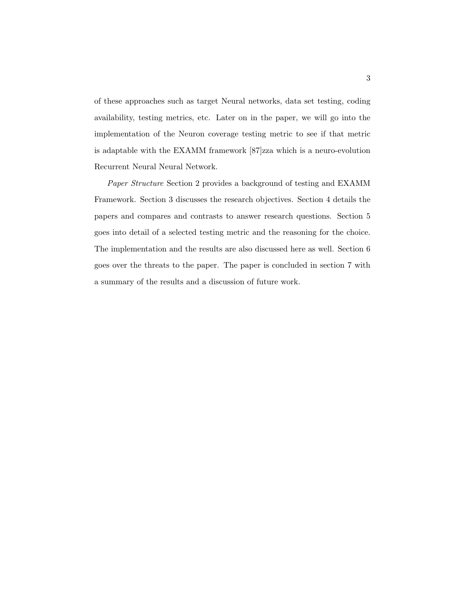of these approaches such as target Neural networks, data set testing, coding availability, testing metrics, etc. Later on in the paper, we will go into the implementation of the Neuron coverage testing metric to see if that metric is adaptable with the EXAMM framework [\[87\]](#page-51-3)zza which is a neuro-evolution Recurrent Neural Neural Network.

Paper Structure Section [2](#page-13-0) provides a background of testing and EXAMM Framework. Section [3](#page-15-0) discusses the research objectives. Section [4](#page-17-0) details the papers and compares and contrasts to answer research questions. Section [5](#page-29-0) goes into detail of a selected testing metric and the reasoning for the choice. The implementation and the results are also discussed here as well. Section [6](#page-37-0) goes over the threats to the paper. The paper is concluded in section [7](#page-39-0) with a summary of the results and a discussion of future work.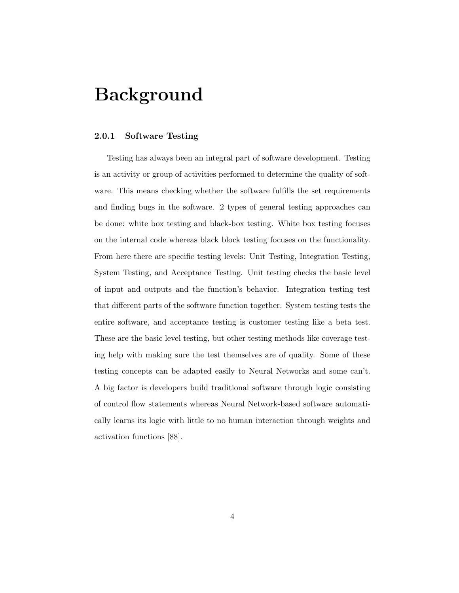### <span id="page-13-0"></span>Background

#### <span id="page-13-1"></span>2.0.1 Software Testing

Testing has always been an integral part of software development. Testing is an activity or group of activities performed to determine the quality of software. This means checking whether the software fulfills the set requirements and finding bugs in the software. 2 types of general testing approaches can be done: white box testing and black-box testing. White box testing focuses on the internal code whereas black block testing focuses on the functionality. From here there are specific testing levels: Unit Testing, Integration Testing, System Testing, and Acceptance Testing. Unit testing checks the basic level of input and outputs and the function's behavior. Integration testing test that different parts of the software function together. System testing tests the entire software, and acceptance testing is customer testing like a beta test. These are the basic level testing, but other testing methods like coverage testing help with making sure the test themselves are of quality. Some of these testing concepts can be adapted easily to Neural Networks and some can't. A big factor is developers build traditional software through logic consisting of control flow statements whereas Neural Network-based software automatically learns its logic with little to no human interaction through weights and activation functions [\[88\]](#page-51-4).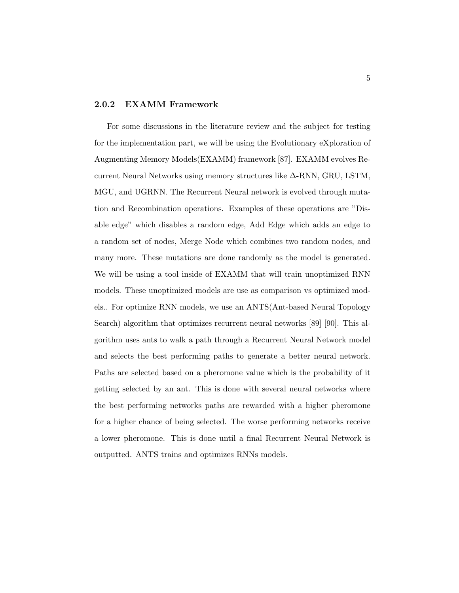#### <span id="page-14-0"></span>2.0.2 EXAMM Framework

For some discussions in the literature review and the subject for testing for the implementation part, we will be using the Evolutionary eXploration of Augmenting Memory Models(EXAMM) framework [\[87\]](#page-51-3). EXAMM evolves Recurrent Neural Networks using memory structures like ∆-RNN, GRU, LSTM, MGU, and UGRNN. The Recurrent Neural network is evolved through mutation and Recombination operations. Examples of these operations are "Disable edge" which disables a random edge, Add Edge which adds an edge to a random set of nodes, Merge Node which combines two random nodes, and many more. These mutations are done randomly as the model is generated. We will be using a tool inside of EXAMM that will train unoptimized RNN models. These unoptimized models are use as comparison vs optimized models.. For optimize RNN models, we use an ANTS(Ant-based Neural Topology Search) algorithm that optimizes recurrent neural networks [\[89\]](#page-51-5) [\[90\]](#page-52-0). This algorithm uses ants to walk a path through a Recurrent Neural Network model and selects the best performing paths to generate a better neural network. Paths are selected based on a pheromone value which is the probability of it getting selected by an ant. This is done with several neural networks where the best performing networks paths are rewarded with a higher pheromone for a higher chance of being selected. The worse performing networks receive a lower pheromone. This is done until a final Recurrent Neural Network is outputted. ANTS trains and optimizes RNNs models.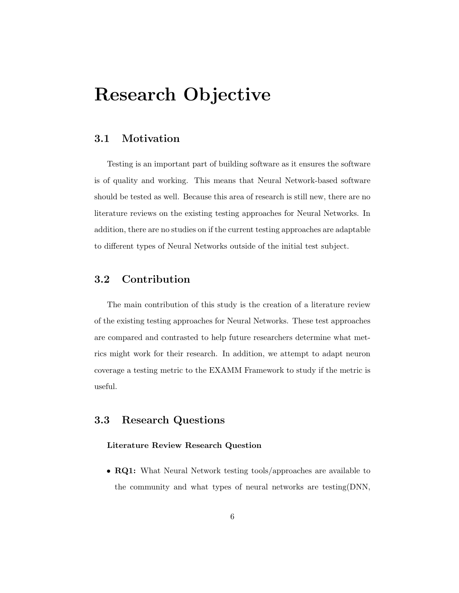## <span id="page-15-0"></span>Research Objective

#### <span id="page-15-1"></span>3.1 Motivation

Testing is an important part of building software as it ensures the software is of quality and working. This means that Neural Network-based software should be tested as well. Because this area of research is still new, there are no literature reviews on the existing testing approaches for Neural Networks. In addition, there are no studies on if the current testing approaches are adaptable to different types of Neural Networks outside of the initial test subject.

#### <span id="page-15-2"></span>3.2 Contribution

The main contribution of this study is the creation of a literature review of the existing testing approaches for Neural Networks. These test approaches are compared and contrasted to help future researchers determine what metrics might work for their research. In addition, we attempt to adapt neuron coverage a testing metric to the EXAMM Framework to study if the metric is useful.

#### <span id="page-15-3"></span>3.3 Research Questions

#### Literature Review Research Question

• RQ1: What Neural Network testing tools/approaches are available to the community and what types of neural networks are testing(DNN,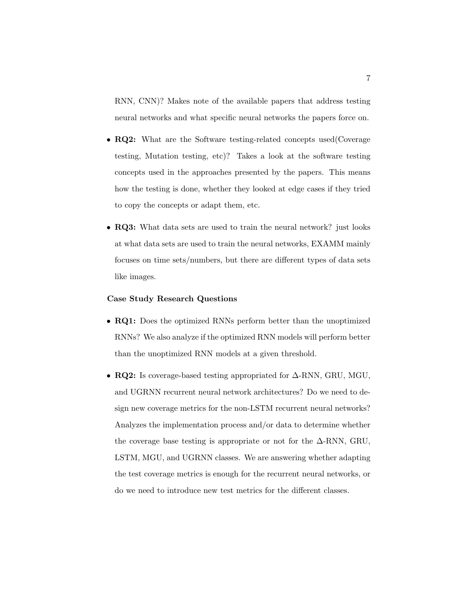RNN, CNN)? Makes note of the available papers that address testing neural networks and what specific neural networks the papers force on.

- RQ2: What are the Software testing-related concepts used(Coverage testing, Mutation testing, etc)? Takes a look at the software testing concepts used in the approaches presented by the papers. This means how the testing is done, whether they looked at edge cases if they tried to copy the concepts or adapt them, etc.
- **RQ3:** What data sets are used to train the neural network? just looks at what data sets are used to train the neural networks, EXAMM mainly focuses on time sets/numbers, but there are different types of data sets like images.

#### Case Study Research Questions

- RQ1: Does the optimized RNNs perform better than the unoptimized RNNs? We also analyze if the optimized RNN models will perform better than the unoptimized RNN models at a given threshold.
- RQ2: Is coverage-based testing appropriated for  $\Delta$ -RNN, GRU, MGU, and UGRNN recurrent neural network architectures? Do we need to design new coverage metrics for the non-LSTM recurrent neural networks? Analyzes the implementation process and/or data to determine whether the coverage base testing is appropriate or not for the  $\Delta$ -RNN, GRU, LSTM, MGU, and UGRNN classes. We are answering whether adapting the test coverage metrics is enough for the recurrent neural networks, or do we need to introduce new test metrics for the different classes.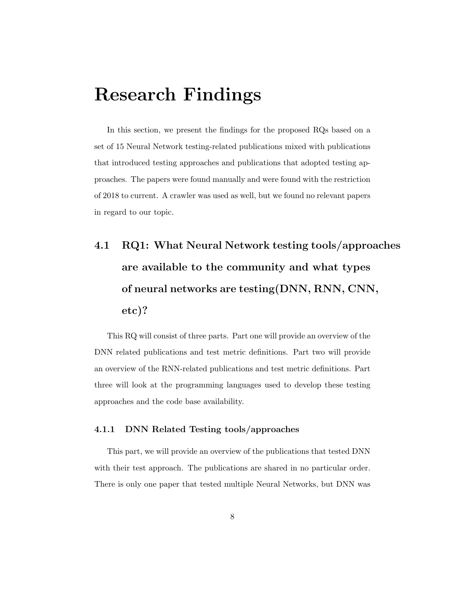### <span id="page-17-0"></span>Research Findings

In this section, we present the findings for the proposed RQs based on a set of 15 Neural Network testing-related publications mixed with publications that introduced testing approaches and publications that adopted testing approaches. The papers were found manually and were found with the restriction of 2018 to current. A crawler was used as well, but we found no relevant papers in regard to our topic.

## <span id="page-17-1"></span>4.1 RQ1: What Neural Network testing tools/approaches are available to the community and what types of neural networks are testing(DNN, RNN, CNN, etc)?

This RQ will consist of three parts. Part one will provide an overview of the DNN related publications and test metric definitions. Part two will provide an overview of the RNN-related publications and test metric definitions. Part three will look at the programming languages used to develop these testing approaches and the code base availability.

#### <span id="page-17-2"></span>4.1.1 DNN Related Testing tools/approaches

This part, we will provide an overview of the publications that tested DNN with their test approach. The publications are shared in no particular order. There is only one paper that tested multiple Neural Networks, but DNN was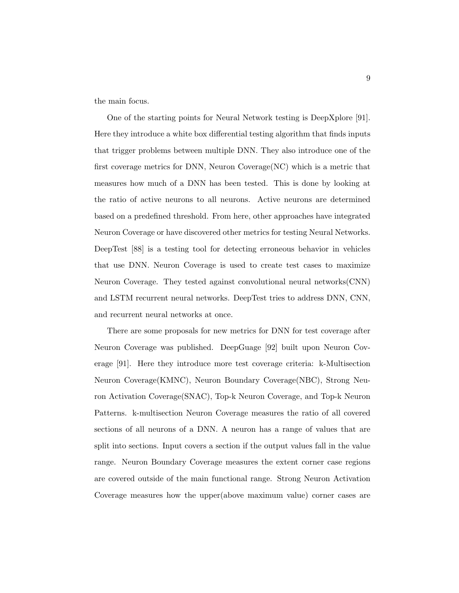the main focus.

One of the starting points for Neural Network testing is DeepXplore [\[91\]](#page-52-1). Here they introduce a white box differential testing algorithm that finds inputs that trigger problems between multiple DNN. They also introduce one of the first coverage metrics for DNN, Neuron Coverage(NC) which is a metric that measures how much of a DNN has been tested. This is done by looking at the ratio of active neurons to all neurons. Active neurons are determined based on a predefined threshold. From here, other approaches have integrated Neuron Coverage or have discovered other metrics for testing Neural Networks. DeepTest [\[88\]](#page-51-4) is a testing tool for detecting erroneous behavior in vehicles that use DNN. Neuron Coverage is used to create test cases to maximize Neuron Coverage. They tested against convolutional neural networks(CNN) and LSTM recurrent neural networks. DeepTest tries to address DNN, CNN, and recurrent neural networks at once.

There are some proposals for new metrics for DNN for test coverage after Neuron Coverage was published. DeepGuage [\[92\]](#page-52-2) built upon Neuron Coverage [\[91\]](#page-52-1). Here they introduce more test coverage criteria: k-Multisection Neuron Coverage(KMNC), Neuron Boundary Coverage(NBC), Strong Neuron Activation Coverage(SNAC), Top-k Neuron Coverage, and Top-k Neuron Patterns. k-multisection Neuron Coverage measures the ratio of all covered sections of all neurons of a DNN. A neuron has a range of values that are split into sections. Input covers a section if the output values fall in the value range. Neuron Boundary Coverage measures the extent corner case regions are covered outside of the main functional range. Strong Neuron Activation Coverage measures how the upper(above maximum value) corner cases are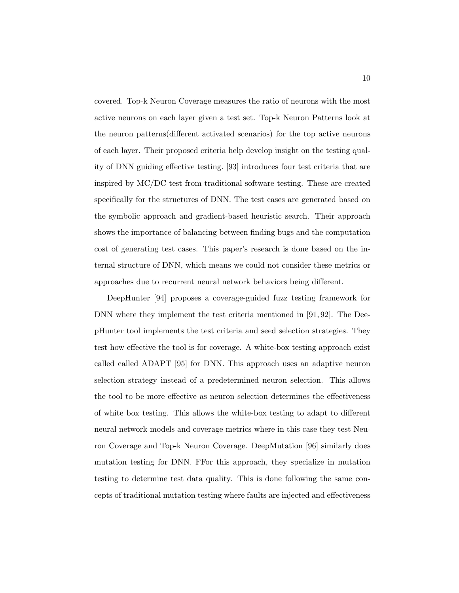covered. Top-k Neuron Coverage measures the ratio of neurons with the most active neurons on each layer given a test set. Top-k Neuron Patterns look at the neuron patterns(different activated scenarios) for the top active neurons of each layer. Their proposed criteria help develop insight on the testing quality of DNN guiding effective testing. [\[93\]](#page-52-3) introduces four test criteria that are inspired by MC/DC test from traditional software testing. These are created specifically for the structures of DNN. The test cases are generated based on the symbolic approach and gradient-based heuristic search. Their approach shows the importance of balancing between finding bugs and the computation cost of generating test cases. This paper's research is done based on the internal structure of DNN, which means we could not consider these metrics or approaches due to recurrent neural network behaviors being different.

DeepHunter [\[94\]](#page-52-4) proposes a coverage-guided fuzz testing framework for DNN where they implement the test criteria mentioned in [\[91,](#page-52-1) [92\]](#page-52-2). The DeepHunter tool implements the test criteria and seed selection strategies. They test how effective the tool is for coverage. A white-box testing approach exist called called ADAPT [\[95\]](#page-52-5) for DNN. This approach uses an adaptive neuron selection strategy instead of a predetermined neuron selection. This allows the tool to be more effective as neuron selection determines the effectiveness of white box testing. This allows the white-box testing to adapt to different neural network models and coverage metrics where in this case they test Neuron Coverage and Top-k Neuron Coverage. DeepMutation [\[96\]](#page-52-6) similarly does mutation testing for DNN. FFor this approach, they specialize in mutation testing to determine test data quality. This is done following the same concepts of traditional mutation testing where faults are injected and effectiveness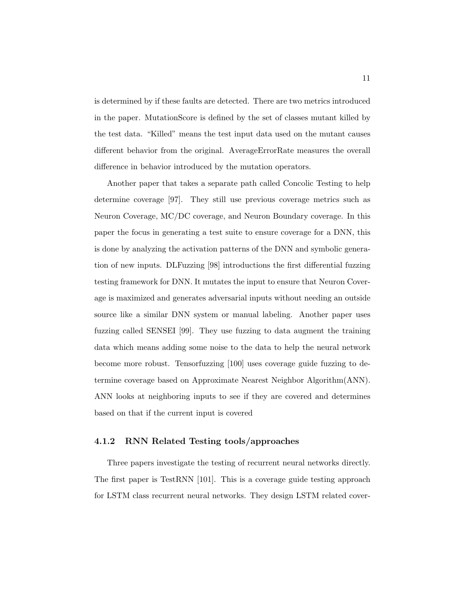is determined by if these faults are detected. There are two metrics introduced in the paper. MutationScore is defined by the set of classes mutant killed by the test data. "Killed" means the test input data used on the mutant causes different behavior from the original. AverageErrorRate measures the overall difference in behavior introduced by the mutation operators.

Another paper that takes a separate path called Concolic Testing to help determine coverage [\[97\]](#page-53-0). They still use previous coverage metrics such as Neuron Coverage, MC/DC coverage, and Neuron Boundary coverage. In this paper the focus in generating a test suite to ensure coverage for a DNN, this is done by analyzing the activation patterns of the DNN and symbolic generation of new inputs. DLFuzzing [\[98\]](#page-53-1) introductions the first differential fuzzing testing framework for DNN. It mutates the input to ensure that Neuron Coverage is maximized and generates adversarial inputs without needing an outside source like a similar DNN system or manual labeling. Another paper uses fuzzing called SENSEI [\[99\]](#page-53-2). They use fuzzing to data augment the training data which means adding some noise to the data to help the neural network become more robust. Tensorfuzzing [\[100\]](#page-53-3) uses coverage guide fuzzing to determine coverage based on Approximate Nearest Neighbor Algorithm(ANN). ANN looks at neighboring inputs to see if they are covered and determines based on that if the current input is covered

#### <span id="page-20-0"></span>4.1.2 RNN Related Testing tools/approaches

Three papers investigate the testing of recurrent neural networks directly. The first paper is TestRNN [\[101\]](#page-53-4). This is a coverage guide testing approach for LSTM class recurrent neural networks. They design LSTM related cover-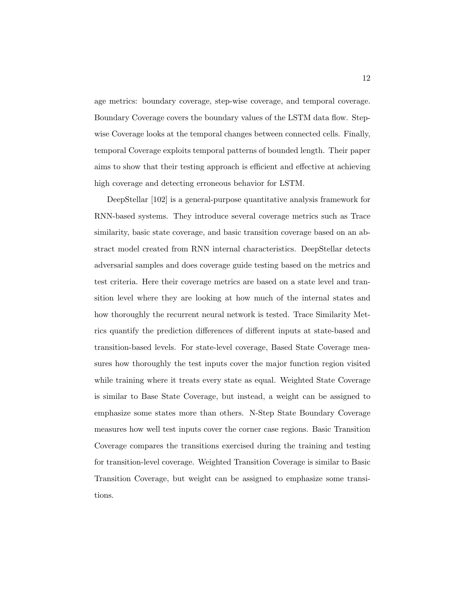age metrics: boundary coverage, step-wise coverage, and temporal coverage. Boundary Coverage covers the boundary values of the LSTM data flow. Stepwise Coverage looks at the temporal changes between connected cells. Finally, temporal Coverage exploits temporal patterns of bounded length. Their paper aims to show that their testing approach is efficient and effective at achieving high coverage and detecting erroneous behavior for LSTM.

DeepStellar [\[102\]](#page-53-5) is a general-purpose quantitative analysis framework for RNN-based systems. They introduce several coverage metrics such as Trace similarity, basic state coverage, and basic transition coverage based on an abstract model created from RNN internal characteristics. DeepStellar detects adversarial samples and does coverage guide testing based on the metrics and test criteria. Here their coverage metrics are based on a state level and transition level where they are looking at how much of the internal states and how thoroughly the recurrent neural network is tested. Trace Similarity Metrics quantify the prediction differences of different inputs at state-based and transition-based levels. For state-level coverage, Based State Coverage measures how thoroughly the test inputs cover the major function region visited while training where it treats every state as equal. Weighted State Coverage is similar to Base State Coverage, but instead, a weight can be assigned to emphasize some states more than others. N-Step State Boundary Coverage measures how well test inputs cover the corner case regions. Basic Transition Coverage compares the transitions exercised during the training and testing for transition-level coverage. Weighted Transition Coverage is similar to Basic Transition Coverage, but weight can be assigned to emphasize some transitions.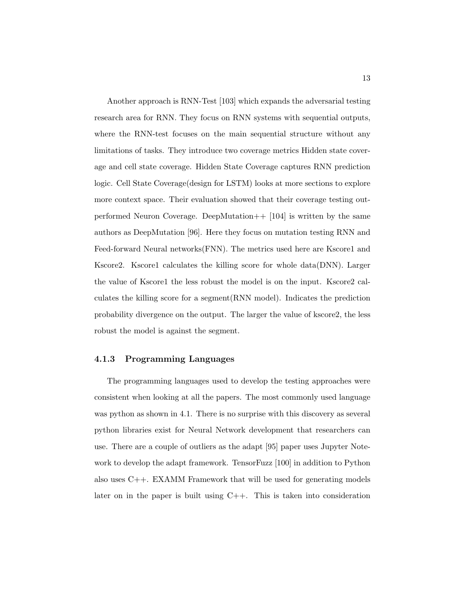Another approach is RNN-Test [\[103\]](#page-53-6) which expands the adversarial testing research area for RNN. They focus on RNN systems with sequential outputs, where the RNN-test focuses on the main sequential structure without any limitations of tasks. They introduce two coverage metrics Hidden state coverage and cell state coverage. Hidden State Coverage captures RNN prediction logic. Cell State Coverage(design for LSTM) looks at more sections to explore more context space. Their evaluation showed that their coverage testing outperformed Neuron Coverage. DeepMutation $++$  [\[104\]](#page-54-0) is written by the same authors as DeepMutation [\[96\]](#page-52-6). Here they focus on mutation testing RNN and Feed-forward Neural networks(FNN). The metrics used here are Kscore1 and Kscore2. Kscore1 calculates the killing score for whole data(DNN). Larger the value of Kscore1 the less robust the model is on the input. Kscore2 calculates the killing score for a segment(RNN model). Indicates the prediction probability divergence on the output. The larger the value of kscore2, the less robust the model is against the segment.

#### <span id="page-22-0"></span>4.1.3 Programming Languages

The programming languages used to develop the testing approaches were consistent when looking at all the papers. The most commonly used language was python as shown in [4.1.](#page-24-0) There is no surprise with this discovery as several python libraries exist for Neural Network development that researchers can use. There are a couple of outliers as the adapt [\[95\]](#page-52-5) paper uses Jupyter Notework to develop the adapt framework. TensorFuzz [\[100\]](#page-53-3) in addition to Python also uses  $C_{++}$ . EXAMM Framework that will be used for generating models later on in the paper is built using C++. This is taken into consideration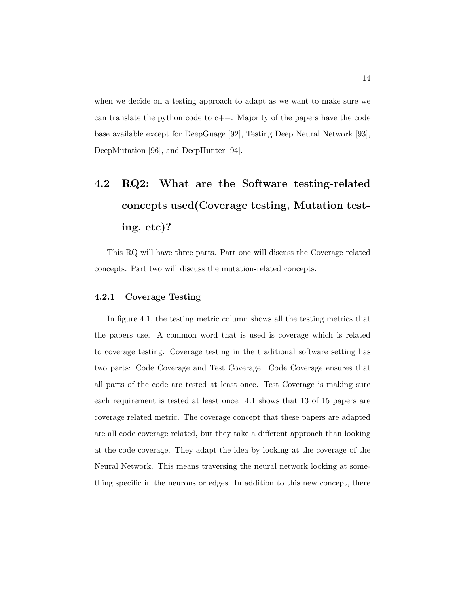when we decide on a testing approach to adapt as we want to make sure we can translate the python code to  $c++$ . Majority of the papers have the code base available except for DeepGuage [\[92\]](#page-52-2), Testing Deep Neural Network [\[93\]](#page-52-3), DeepMutation [\[96\]](#page-52-6), and DeepHunter [\[94\]](#page-52-4).

### <span id="page-23-0"></span>4.2 RQ2: What are the Software testing-related concepts used(Coverage testing, Mutation testing, etc)?

This RQ will have three parts. Part one will discuss the Coverage related concepts. Part two will discuss the mutation-related concepts.

#### <span id="page-23-1"></span>4.2.1 Coverage Testing

In figure [4.1,](#page-24-0) the testing metric column shows all the testing metrics that the papers use. A common word that is used is coverage which is related to coverage testing. Coverage testing in the traditional software setting has two parts: Code Coverage and Test Coverage. Code Coverage ensures that all parts of the code are tested at least once. Test Coverage is making sure each requirement is tested at least once. [4.1](#page-24-0) shows that 13 of 15 papers are coverage related metric. The coverage concept that these papers are adapted are all code coverage related, but they take a different approach than looking at the code coverage. They adapt the idea by looking at the coverage of the Neural Network. This means traversing the neural network looking at something specific in the neurons or edges. In addition to this new concept, there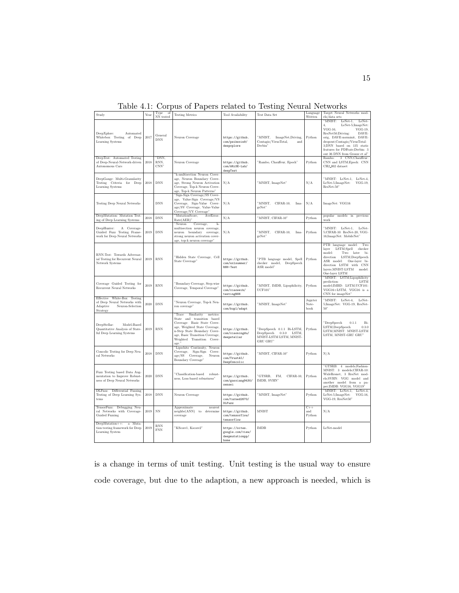|                                                                                                         |               |                             |                                                                                                                                                                                                                                         |                                                               | Table 4.1: Corpus of Papers related to Testing Neural Networks                              |                          |                                                                                                                                                                                                                                                                                           |
|---------------------------------------------------------------------------------------------------------|---------------|-----------------------------|-----------------------------------------------------------------------------------------------------------------------------------------------------------------------------------------------------------------------------------------|---------------------------------------------------------------|---------------------------------------------------------------------------------------------|--------------------------|-------------------------------------------------------------------------------------------------------------------------------------------------------------------------------------------------------------------------------------------------------------------------------------------|
| Study                                                                                                   | Year          | Type<br>of<br>NN tested     | <b>Testing Metrics</b>                                                                                                                                                                                                                  | Tool Availability                                             | Test Data Set                                                                               | $L$ anguage<br>Written   | Target Neural Networks mod-<br>els/data sets                                                                                                                                                                                                                                              |
| DeepXplore:<br>Automated<br>Whitebox Testing of Deep<br>Learning Systems                                | 2017          | General<br><b>DNN</b>       | Neuron Coverage                                                                                                                                                                                                                         | https://github.<br>com/peikexin9/<br>deepxplore               | "MNIST,<br>ImageNet,Driving,<br>Contagio/VirusTotal,<br>and<br>Drebin"                      | Python                   | 'MNIST: LeNet-1,<br>LeNet-<br>$\overline{4}$ .<br>LeNet-5;ImageNet:<br>$VGG-16$ .<br>VGG-19.<br>ResNet50;Driving:<br>DAVE-<br>orig, DAVE-norminit, DAVE-<br>dropout;Contagio/VirusTotal:<br>3;DNN based on 135 static<br>features for PDFrate; Drebin: 3<br>out 36 DNN from Grozze et al" |
| DeepTest: Automated Testing<br>of Deep-Neural-Network-driven<br>Autonomous Cars                         | 2018          | DNN.<br>RNN,<br>CNN"        | Neuron Coverage                                                                                                                                                                                                                         | https://github.<br>com/ARiSE-Lab/<br>deepTest                 | "Rambo, Chauffeur, Epoch"                                                                   | Python                   | Rambo: 3 CNN:Chauffeur:<br>CNN and LSTM; Epoch: CNN<br>CH2_002 dataset                                                                                                                                                                                                                    |
| DeepGauge: Multi-Granularity<br>Testing Criteria for Deep<br>Learning Systems                           | $\sqrt{2018}$ | <b>DNN</b>                  | k-multisection Neuron Cover-<br>age, Neuron Boundary Cover-<br>age, Strong Neuron Activation<br>Coverage, Top-k Neuron Cover-<br>age, Top-k Neuron Patterns"                                                                            | N/A                                                           | "MNIST, ImageNet"                                                                           | N/A                      | "MNIST: LeNet-1, LeNet-4,<br>LeNet-5;ImageNet: VGG-19,<br>ResNet-50"                                                                                                                                                                                                                      |
| Testing Deep Neural Networks                                                                            |               | <b>DNN</b>                  | 'Sign-Sign Coverage/SS Cover-<br>age, Value-Sign Coverage/VS<br>Coverage, Sign-Value Cover-<br>age/SV Coverage, Value-Value<br>Coverage/VV Coverage"                                                                                    | N/A                                                           | "MNIST, CIFAR-10.<br>Ima-<br>geNet"                                                         | N/A                      | ImageNet: VGG16                                                                                                                                                                                                                                                                           |
| DeepMutation: Mutation Test-<br>ing of Deep Learning Systems                                            | 2018          | <b>DNN</b>                  | 'MutationScore,<br>AveError-<br>$Rate(AER)$ "                                                                                                                                                                                           | N/A                                                           | "MNIST, CIFAR-10"                                                                           | Python                   | popular models in previous<br>work                                                                                                                                                                                                                                                        |
| DeepHunter:<br>A Coverage-<br>Guided Fuzz Testing Frame-<br>work for Deep Neural Networks               | 2019          | <b>DNN</b>                  | Neuron<br>Coverage,<br>$\overline{k}$<br>multisection neuron coverage,<br>neuron boundary coverage,<br>strong neuron activation cover-<br>age, top-k neuron coverage"                                                                   | N/A                                                           | "MNIST,<br>CIFAR-10,<br>Ima-<br>geNet"                                                      | Python                   | "MNIST: LeNet-1, LeNet-<br>5;CIFAR-10: ResNet-20, VGG-<br>16;ImageNet: MobileNet"                                                                                                                                                                                                         |
| RNN-Test: Towards Adversar-<br>ial Testing for Recurrent Neural<br>Network Systems                      | 2019          | <b>RNN</b>                  | "Hidden State Coverage, Cell<br>State Coverage'                                                                                                                                                                                         | https://github.<br>com/wxlsummer/<br>RNN-Test                 | "PTB language model, Spell<br>checker model, DeepSpeech<br>ASR model"                       | Python                   | PTB language model: Two<br>$\operatorname{LSTM};\operatorname{Spell}$<br>checker<br>layer<br>model:<br>Two later<br>bi-<br>LSTM;DeepSpeech<br>direction<br>ASR model: One-layer bi-<br>direction LSTM with CNN<br>layers; MNIST-LSTM model:<br>One-layer LSTM                             |
| Coverage Guided Testing for<br>Recurrent Neural Networks                                                | 2019          | <b>RNN</b>                  | "Boundary Coverage, Step-wise<br>Coverage, Temporal Coverage"                                                                                                                                                                           | https://github.<br>com/xiaoweih/<br>testingRNN                | "MNIST, IMDB, Lipophilicity,<br><b>UCF101</b> "                                             | Python                   | 'MNIST: LSTM;Lipophilicity<br>prediction:<br><b>LSTM</b><br>model; IMBD: LSTM; UCF101:<br>VGG16+LSTM, VGG16 is a<br>CNN for imageNet"                                                                                                                                                     |
| Effective White-Box Testing<br>of Deep Neural Networks with<br>Adaptive<br>Neuron-Selection<br>Strategy | 2020          | <b>DNN</b>                  | "Neuron Coverage, Top-k Neu-<br>ron coverage                                                                                                                                                                                            | https://github.<br>com/kupl/adapt                             | "MNIST, ImageNet"                                                                           | Jupyter<br>Note-<br>book | "MNIST: LeNet-4, LeNet-<br>5;ImageNet: VGG-19, ResNet-<br>50"                                                                                                                                                                                                                             |
| DeepStellar:<br>Model-Based<br>Quantitative Analysis of State-<br>ful Deep Learning Systems             | 2019          | <b>RNN</b>                  | Trace<br>Similarity<br>metrics:<br>State and transition based<br>Coverage: Basic State Cover-<br>age, Weighted State Coverage,<br>n-Step State Boundary Cover-<br>age, Basic Transition Coverage,<br>Weighted Transition Cover-<br>age. | https://github.<br>com/xiaoningdu/<br>deepstellar             | "DeepSpeech 0.1.1 Bi-LSTM,<br>DeepSpeech 0.3.0 LSTM,<br>MNIST-LSTM LSTM, MNIST-<br>GRU GRU" | Python                   | "DeepSpeech<br>0.1.1<br>Bi-<br>LSTM;DeepSpeech<br>0.3.0<br>LSTM;MNIST: MNIST-LSTM<br>LSTM, MNIST-GRU GRU"                                                                                                                                                                                 |
| Concolic Testing for Deep Neu-<br>ral Networks                                                          | 2018          | <b>DNN</b>                  | Lipschitz Continuity, Neuron<br>Coverage, Sign-Sign Cover-<br>age/SS Coverage,<br>Neuron<br>Boundary Coverage"                                                                                                                          | https://github.<br>com/TrustAI/<br>DeepConcolic               | "MNIST, CIFAR-10"                                                                           | Python                   | N/A                                                                                                                                                                                                                                                                                       |
| Fuzz Testing based Data Aug-<br>mentation to Improve Robust-<br>ness of Deep Neural Networks            | 2020          | <b>DNN</b>                  | "Classification-based robust-<br>ness. Loss-based robustness'                                                                                                                                                                           | https://github.<br>com/gaoxiang9430/<br>sensei                | "GTSRB. FM.<br>CIFAR-10,<br>IMDB, SVHN"                                                     | Python                   | GTSRB: 4 models; Fashion-<br>MNIST: 3 models;CIFAR-10:<br>WideResnet, 3 ResNet mod-<br>els;SVHN: VGG model and<br>another model from a pa-<br>per;IMDB: VGG16, VGG19"                                                                                                                     |
| DLFuzz: Differential Fuzzing<br>Testing of Deep Learning Sys-<br>tems                                   | $2018\,$      | $\mathop{\rm DNN}\nolimits$ | Neuron Coverage                                                                                                                                                                                                                         | https://github.<br>com/turned2670/<br>DLFuzz                  | "MNIST, ImageNet"                                                                           | Python                   | 'MNIST: LeNet-1,<br>LeNet-4.<br>LeNet-5;ImageNet:<br>$VGG-16$ ,<br>VGG-19, ResNet50"                                                                                                                                                                                                      |
| TensorFuzz: Debugging Neu-<br>ral Networks with Coverage-<br>Guided Fuzzing                             | 2019          | $_{\rm NN}$                 | Approximate<br>nearest<br>neighbr(ANN)<br>to determine<br>coverage                                                                                                                                                                      | https://github.<br>com/tensorflow/<br>tensorflow              | <b>MNIST</b>                                                                                | $C++$<br>and<br>Python   | N/A                                                                                                                                                                                                                                                                                       |
| DeepMutation++: a Muta-<br>tion testing framework for Deep<br>Learning System                           | 2019          | <b>RNN</b><br><b>FNN</b>    | "KScore1, Kscore2"                                                                                                                                                                                                                      | https://sites.<br>google.com/view/<br>deepmutationpp/<br>home | <b>IMDB</b>                                                                                 | Python                   | LeNet-model                                                                                                                                                                                                                                                                               |

<span id="page-24-0"></span>

is a change in terms of unit testing. Unit testing is the usual way to ensure code coverage, but due to the adaption, a new approach is needed, which is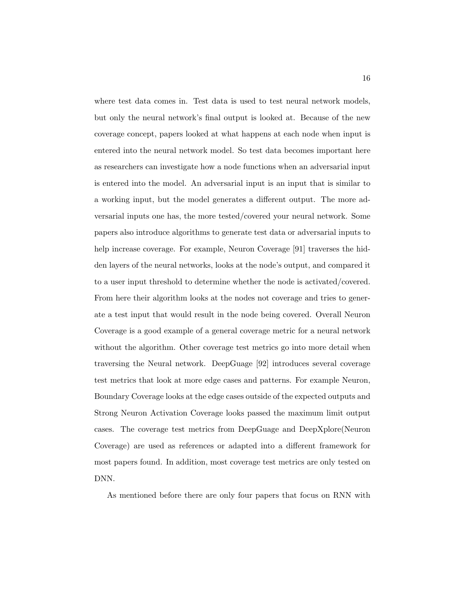where test data comes in. Test data is used to test neural network models, but only the neural network's final output is looked at. Because of the new coverage concept, papers looked at what happens at each node when input is entered into the neural network model. So test data becomes important here as researchers can investigate how a node functions when an adversarial input is entered into the model. An adversarial input is an input that is similar to a working input, but the model generates a different output. The more adversarial inputs one has, the more tested/covered your neural network. Some papers also introduce algorithms to generate test data or adversarial inputs to help increase coverage. For example, Neuron Coverage [\[91\]](#page-52-1) traverses the hidden layers of the neural networks, looks at the node's output, and compared it to a user input threshold to determine whether the node is activated/covered. From here their algorithm looks at the nodes not coverage and tries to generate a test input that would result in the node being covered. Overall Neuron Coverage is a good example of a general coverage metric for a neural network without the algorithm. Other coverage test metrics go into more detail when traversing the Neural network. DeepGuage [\[92\]](#page-52-2) introduces several coverage test metrics that look at more edge cases and patterns. For example Neuron, Boundary Coverage looks at the edge cases outside of the expected outputs and Strong Neuron Activation Coverage looks passed the maximum limit output cases. The coverage test metrics from DeepGuage and DeepXplore(Neuron Coverage) are used as references or adapted into a different framework for most papers found. In addition, most coverage test metrics are only tested on DNN.

As mentioned before there are only four papers that focus on RNN with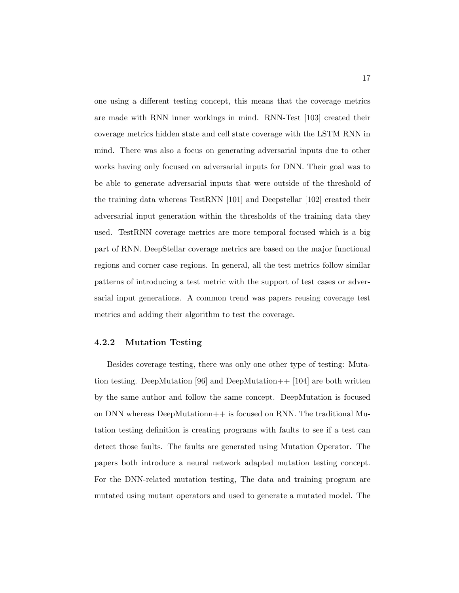one using a different testing concept, this means that the coverage metrics are made with RNN inner workings in mind. RNN-Test [\[103\]](#page-53-6) created their coverage metrics hidden state and cell state coverage with the LSTM RNN in mind. There was also a focus on generating adversarial inputs due to other works having only focused on adversarial inputs for DNN. Their goal was to be able to generate adversarial inputs that were outside of the threshold of the training data whereas TestRNN [\[101\]](#page-53-4) and Deepstellar [\[102\]](#page-53-5) created their adversarial input generation within the thresholds of the training data they used. TestRNN coverage metrics are more temporal focused which is a big part of RNN. DeepStellar coverage metrics are based on the major functional regions and corner case regions. In general, all the test metrics follow similar patterns of introducing a test metric with the support of test cases or adversarial input generations. A common trend was papers reusing coverage test metrics and adding their algorithm to test the coverage.

#### <span id="page-26-0"></span>4.2.2 Mutation Testing

Besides coverage testing, there was only one other type of testing: Muta-tion testing. DeepMutation [\[96\]](#page-52-6) and DeepMutation $++$  [\[104\]](#page-54-0) are both written by the same author and follow the same concept. DeepMutation is focused on DNN whereas DeepMutationn++ is focused on RNN. The traditional Mutation testing definition is creating programs with faults to see if a test can detect those faults. The faults are generated using Mutation Operator. The papers both introduce a neural network adapted mutation testing concept. For the DNN-related mutation testing, The data and training program are mutated using mutant operators and used to generate a mutated model. The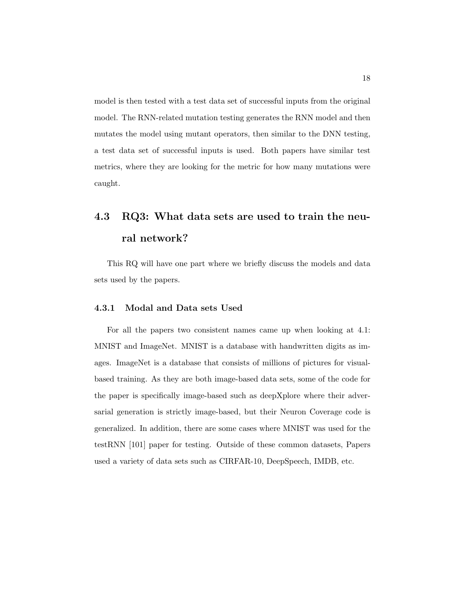model is then tested with a test data set of successful inputs from the original model. The RNN-related mutation testing generates the RNN model and then mutates the model using mutant operators, then similar to the DNN testing, a test data set of successful inputs is used. Both papers have similar test metrics, where they are looking for the metric for how many mutations were caught.

### <span id="page-27-0"></span>4.3 RQ3: What data sets are used to train the neural network?

This RQ will have one part where we briefly discuss the models and data sets used by the papers.

#### <span id="page-27-1"></span>4.3.1 Modal and Data sets Used

For all the papers two consistent names came up when looking at [4.1:](#page-24-0) MNIST and ImageNet. MNIST is a database with handwritten digits as images. ImageNet is a database that consists of millions of pictures for visualbased training. As they are both image-based data sets, some of the code for the paper is specifically image-based such as deepXplore where their adversarial generation is strictly image-based, but their Neuron Coverage code is generalized. In addition, there are some cases where MNIST was used for the testRNN [\[101\]](#page-53-4) paper for testing. Outside of these common datasets, Papers used a variety of data sets such as CIRFAR-10, DeepSpeech, IMDB, etc.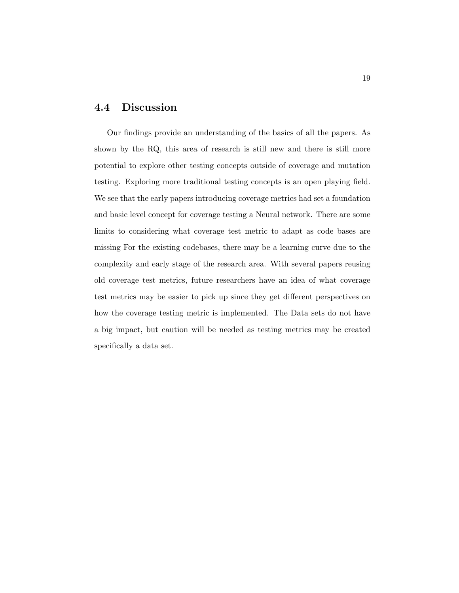#### <span id="page-28-0"></span>4.4 Discussion

Our findings provide an understanding of the basics of all the papers. As shown by the RQ, this area of research is still new and there is still more potential to explore other testing concepts outside of coverage and mutation testing. Exploring more traditional testing concepts is an open playing field. We see that the early papers introducing coverage metrics had set a foundation and basic level concept for coverage testing a Neural network. There are some limits to considering what coverage test metric to adapt as code bases are missing For the existing codebases, there may be a learning curve due to the complexity and early stage of the research area. With several papers reusing old coverage test metrics, future researchers have an idea of what coverage test metrics may be easier to pick up since they get different perspectives on how the coverage testing metric is implemented. The Data sets do not have a big impact, but caution will be needed as testing metrics may be created specifically a data set.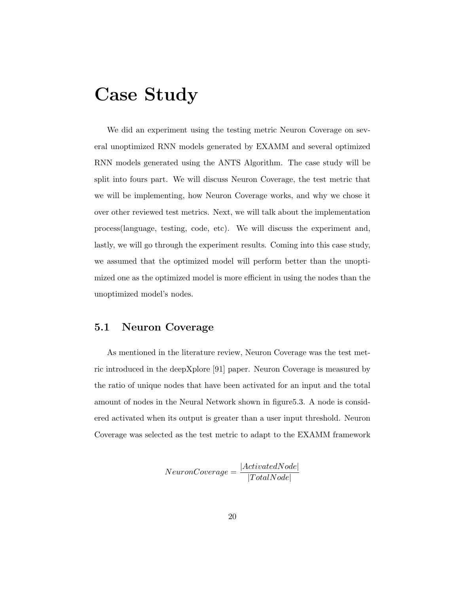### <span id="page-29-0"></span>Case Study

We did an experiment using the testing metric Neuron Coverage on several unoptimized RNN models generated by EXAMM and several optimized RNN models generated using the ANTS Algorithm. The case study will be split into fours part. We will discuss Neuron Coverage, the test metric that we will be implementing, how Neuron Coverage works, and why we chose it over other reviewed test metrics. Next, we will talk about the implementation process(language, testing, code, etc). We will discuss the experiment and, lastly, we will go through the experiment results. Coming into this case study, we assumed that the optimized model will perform better than the unoptimized one as the optimized model is more efficient in using the nodes than the unoptimized model's nodes.

#### <span id="page-29-1"></span>5.1 Neuron Coverage

As mentioned in the literature review, Neuron Coverage was the test metric introduced in the deepXplore [\[91\]](#page-52-1) paper. Neuron Coverage is measured by the ratio of unique nodes that have been activated for an input and the total amount of nodes in the Neural Network shown in figur[e5.3.](#page-32-1) A node is considered activated when its output is greater than a user input threshold. Neuron Coverage was selected as the test metric to adapt to the EXAMM framework

$$
NeuronCoverage = \frac{|ActualNode|}{|TotalNode|}
$$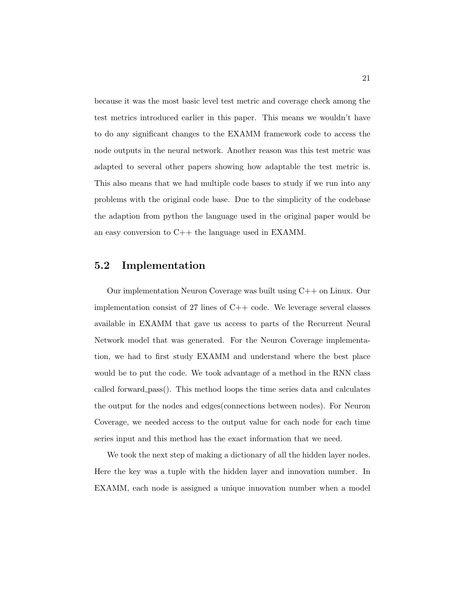because it was the most basic level test metric and coverage check among the test metrics introduced earlier in this paper. This means we wouldn't have to do any significant changes to the EXAMM framework code to access the node outputs in the neural network. Another reason was this test metric was adapted to several other papers showing how adaptable the test metric is. This also means that we had multiple code bases to study if we run into any problems with the original code base. Due to the simplicity of the codebase the adaption from python the language used in the original paper would be an easy conversion to C++ the language used in EXAMM.

#### <span id="page-30-0"></span>5.2 Implementation

Our implementation Neuron Coverage was built using C++ on Linux. Our implementation consist of 27 lines of C++ code. We leverage several classes available in EXAMM that gave us access to parts of the Recurrent Neural Network model that was generated. For the Neuron Coverage implementation, we had to first study EXAMM and understand where the best place would be to put the code. We took advantage of a method in the RNN class called forward pass(). This method loops the time series data and calculates the output for the nodes and edges(connections between nodes). For Neuron Coverage, we needed access to the output value for each node for each time series input and this method has the exact information that we need.

We took the next step of making a dictionary of all the hidden layer nodes. Here the key was a tuple with the hidden layer and innovation number. In EXAMM, each node is assigned a unique innovation number when a model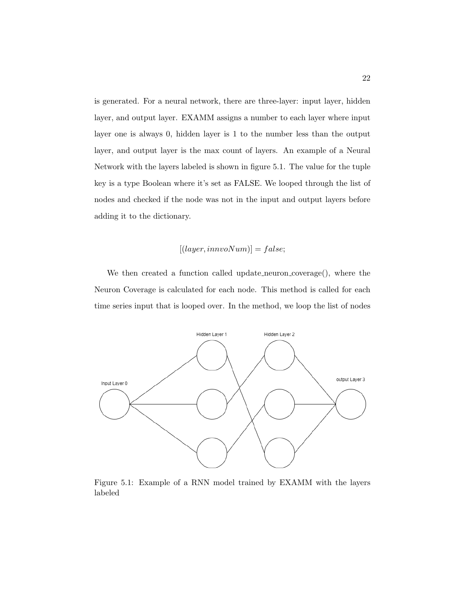is generated. For a neural network, there are three-layer: input layer, hidden layer, and output layer. EXAMM assigns a number to each layer where input layer one is always 0, hidden layer is 1 to the number less than the output layer, and output layer is the max count of layers. An example of a Neural Network with the layers labeled is shown in figure [5.1.](#page-31-0) The value for the tuple key is a type Boolean where it's set as FALSE. We looped through the list of nodes and checked if the node was not in the input and output layers before adding it to the dictionary.

#### $[(layer,innvoNum)] = false;$

We then created a function called update neuron coverage(), where the Neuron Coverage is calculated for each node. This method is called for each time series input that is looped over. In the method, we loop the list of nodes



<span id="page-31-0"></span>Figure 5.1: Example of a RNN model trained by EXAMM with the layers labeled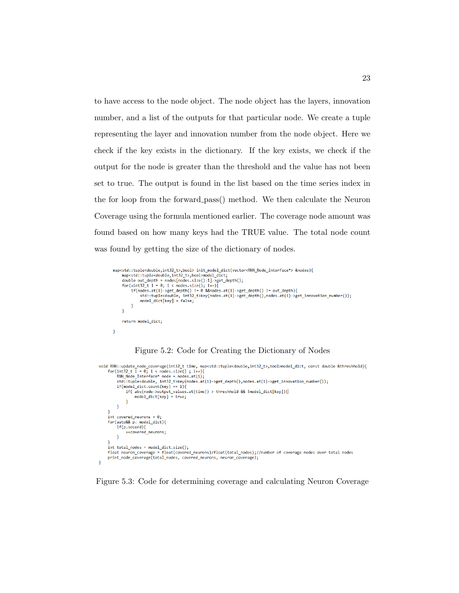to have access to the node object. The node object has the layers, innovation number, and a list of the outputs for that particular node. We create a tuple representing the layer and innovation number from the node object. Here we check if the key exists in the dictionary. If the key exists, we check if the output for the node is greater than the threshold and the value has not been set to true. The output is found in the list based on the time series index in the for loop from the forward pass() method. We then calculate the Neuron Coverage using the formula mentioned earlier. The coverage node amount was found based on how many keys had the TRUE value. The total node count was found by getting the size of the dictionary of nodes.

```
map<std::tuple<double,int32_t>,bool> init_model_dict(vector<RNN_Node_Interface*> &nodes){
       map<std::tuple<double,int32_t>,bool>model_dict;
      double out_depth = nodes[nodes.size()-1]->get_depth();<br>for(uint32_t i = 0; i < nodes.size(); i++){<br>if(nodes.at(i)->get_depth() != 0&&nodes.at(i)->get_depth() != out_depth){<br>if(nodes.at(i)->get_depth() != 0&&nodes.at(i)->ge
                   sta::tuple<double, int32_t>key(nodes.at(i)->get_=ep+n,(),nodes.at(i)->get_innovation_number());<br>model_dict[key] = false;
             J.
      -3
      return model dict:
\overline{\phantom{a}}
```
<span id="page-32-0"></span>

```
void RNN::update_node_coverage(int32_t time, map<std::tuple<double,int32_t>,bool>model_dict, const double &threshhold){
    for(int32_t i = 0; i < nodes.size() ; i++){<br>RNN_Node_Interface* node = nodes.at(i);
         std::tuple<double, int32_t>key(nodes.at(i)->get_depth(),nodes.at(i)->get_innovation_number());
         if (model dict.count(key) == 1)if( abs(node->output_values.at(time)) > threshhold && !model_dict[key]){
                  model_dict[key] = true;
             <sup>1</sup>
         \pmb{\}}int covered_{neurons} = 0;for(auto&& p: model_dict){
         if(p,\text{second}){
             ++covered_neurons;
         <sup>1</sup>
    int total nodes = model dict.size();float neuron_coverage = float(covered_neurons)/float(total_nodes);//number of coverage nodes over total nodes
    print_node_coverage(total_nodes, covered_neurons, neuron_coverage);
\overline{ }
```
<span id="page-32-1"></span>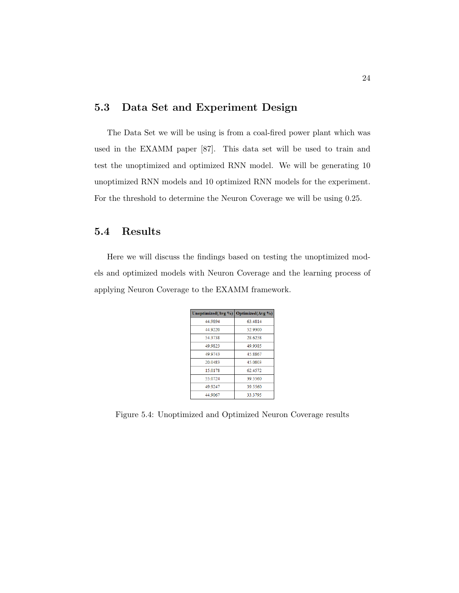#### <span id="page-33-0"></span>5.3 Data Set and Experiment Design

The Data Set we will be using is from a coal-fired power plant which was used in the EXAMM paper [\[87\]](#page-51-3). This data set will be used to train and test the unoptimized and optimized RNN model. We will be generating 10 unoptimized RNN models and 10 optimized RNN models for the experiment. For the threshold to determine the Neuron Coverage we will be using 0.25.

#### <span id="page-33-1"></span>5.4 Results

Here we will discuss the findings based on testing the unoptimized models and optimized models with Neuron Coverage and the learning process of applying Neuron Coverage to the EXAMM framework.

| Unoptimized(Avg %)   Optimized(Avg %) |          |
|---------------------------------------|----------|
| 44 9894                               | 63 48 14 |
| 44 9220                               | 52.9300  |
| 54.3738                               | 28.6258  |
| 49 9823                               | 49 9385  |
| 49.9743                               | 45.8867  |
| 20.0483                               | 45.0803  |
| 15.0178                               | 62.4572  |
| 55.0724                               | 39.5560  |
| 49.9247                               | 39.5560  |
| 44 9067                               | 33 3795  |

<span id="page-33-2"></span>Figure 5.4: Unoptimized and Optimized Neuron Coverage results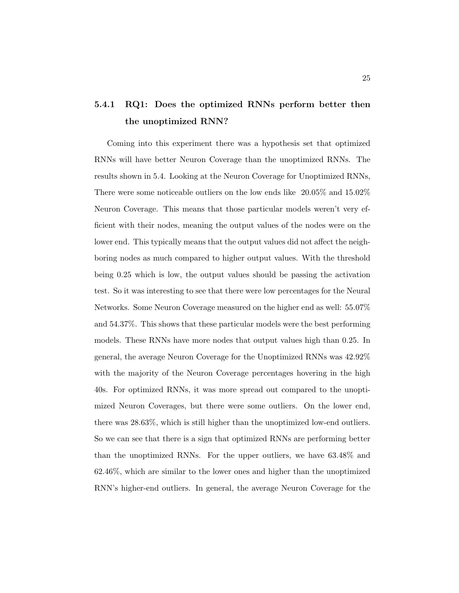### <span id="page-34-0"></span>5.4.1 RQ1: Does the optimized RNNs perform better then the unoptimized RNN?

Coming into this experiment there was a hypothesis set that optimized RNNs will have better Neuron Coverage than the unoptimized RNNs. The results shown in [5.4.](#page-33-2) Looking at the Neuron Coverage for Unoptimized RNNs, There were some noticeable outliers on the low ends like 20.05% and 15.02% Neuron Coverage. This means that those particular models weren't very efficient with their nodes, meaning the output values of the nodes were on the lower end. This typically means that the output values did not affect the neighboring nodes as much compared to higher output values. With the threshold being 0.25 which is low, the output values should be passing the activation test. So it was interesting to see that there were low percentages for the Neural Networks. Some Neuron Coverage measured on the higher end as well: 55.07% and 54.37%. This shows that these particular models were the best performing models. These RNNs have more nodes that output values high than 0.25. In general, the average Neuron Coverage for the Unoptimized RNNs was 42.92% with the majority of the Neuron Coverage percentages hovering in the high 40s. For optimized RNNs, it was more spread out compared to the unoptimized Neuron Coverages, but there were some outliers. On the lower end, there was 28.63%, which is still higher than the unoptimized low-end outliers. So we can see that there is a sign that optimized RNNs are performing better than the unoptimized RNNs. For the upper outliers, we have 63.48% and 62.46%, which are similar to the lower ones and higher than the unoptimized RNN's higher-end outliers. In general, the average Neuron Coverage for the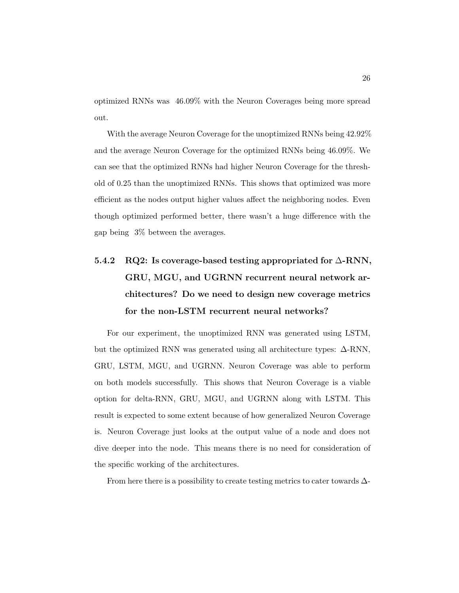optimized RNNs was 46.09% with the Neuron Coverages being more spread out.

With the average Neuron Coverage for the unoptimized RNNs being 42.92% and the average Neuron Coverage for the optimized RNNs being 46.09%. We can see that the optimized RNNs had higher Neuron Coverage for the threshold of 0.25 than the unoptimized RNNs. This shows that optimized was more efficient as the nodes output higher values affect the neighboring nodes. Even though optimized performed better, there wasn't a huge difference with the gap being 3% between the averages.

### <span id="page-35-0"></span>5.4.2 RQ2: Is coverage-based testing appropriated for  $\triangle$ -RNN, GRU, MGU, and UGRNN recurrent neural network architectures? Do we need to design new coverage metrics for the non-LSTM recurrent neural networks?

For our experiment, the unoptimized RNN was generated using LSTM, but the optimized RNN was generated using all architecture types: ∆-RNN, GRU, LSTM, MGU, and UGRNN. Neuron Coverage was able to perform on both models successfully. This shows that Neuron Coverage is a viable option for delta-RNN, GRU, MGU, and UGRNN along with LSTM. This result is expected to some extent because of how generalized Neuron Coverage is. Neuron Coverage just looks at the output value of a node and does not dive deeper into the node. This means there is no need for consideration of the specific working of the architectures.

From here there is a possibility to create testing metrics to cater towards  $\Delta$ -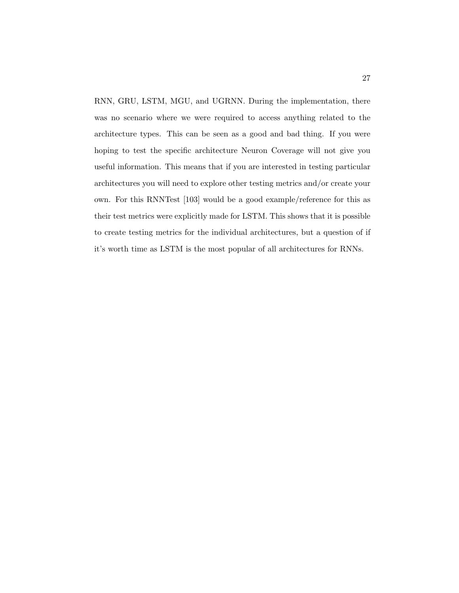RNN, GRU, LSTM, MGU, and UGRNN. During the implementation, there was no scenario where we were required to access anything related to the architecture types. This can be seen as a good and bad thing. If you were hoping to test the specific architecture Neuron Coverage will not give you useful information. This means that if you are interested in testing particular architectures you will need to explore other testing metrics and/or create your own. For this RNNTest [\[103\]](#page-53-6) would be a good example/reference for this as their test metrics were explicitly made for LSTM. This shows that it is possible to create testing metrics for the individual architectures, but a question of if it's worth time as LSTM is the most popular of all architectures for RNNs.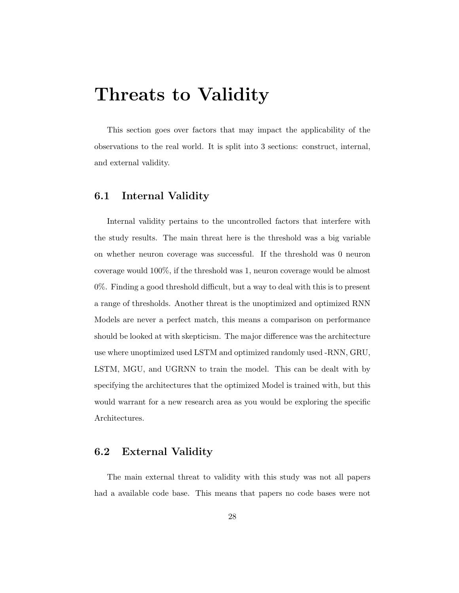## <span id="page-37-0"></span>Threats to Validity

This section goes over factors that may impact the applicability of the observations to the real world. It is split into 3 sections: construct, internal, and external validity.

#### <span id="page-37-1"></span>6.1 Internal Validity

Internal validity pertains to the uncontrolled factors that interfere with the study results. The main threat here is the threshold was a big variable on whether neuron coverage was successful. If the threshold was 0 neuron coverage would 100%, if the threshold was 1, neuron coverage would be almost 0%. Finding a good threshold difficult, but a way to deal with this is to present a range of thresholds. Another threat is the unoptimized and optimized RNN Models are never a perfect match, this means a comparison on performance should be looked at with skepticism. The major difference was the architecture use where unoptimized used LSTM and optimized randomly used -RNN, GRU, LSTM, MGU, and UGRNN to train the model. This can be dealt with by specifying the architectures that the optimized Model is trained with, but this would warrant for a new research area as you would be exploring the specific Architectures.

#### <span id="page-37-2"></span>6.2 External Validity

The main external threat to validity with this study was not all papers had a available code base. This means that papers no code bases were not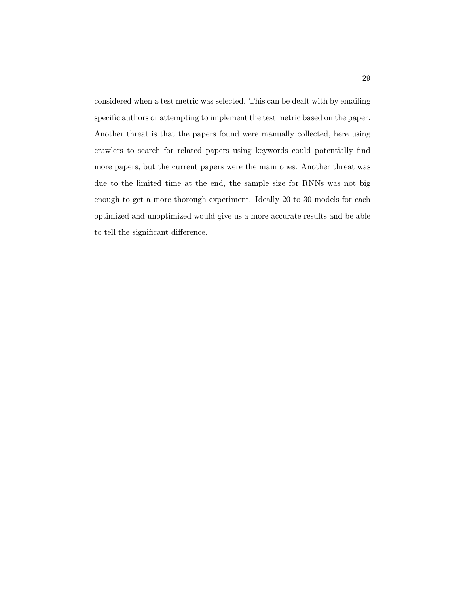considered when a test metric was selected. This can be dealt with by emailing specific authors or attempting to implement the test metric based on the paper. Another threat is that the papers found were manually collected, here using crawlers to search for related papers using keywords could potentially find more papers, but the current papers were the main ones. Another threat was due to the limited time at the end, the sample size for RNNs was not big enough to get a more thorough experiment. Ideally 20 to 30 models for each optimized and unoptimized would give us a more accurate results and be able to tell the significant difference.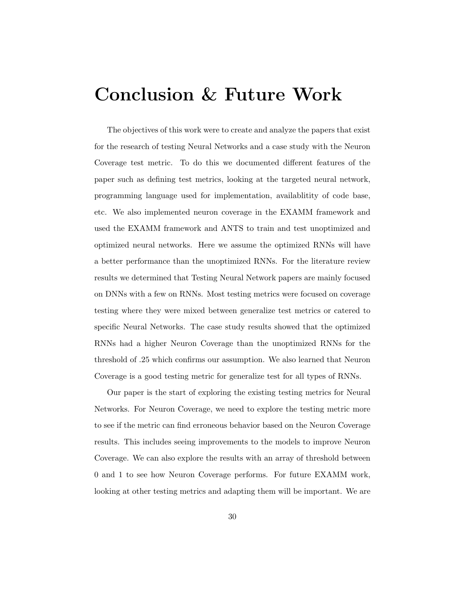### <span id="page-39-0"></span>Conclusion & Future Work

The objectives of this work were to create and analyze the papers that exist for the research of testing Neural Networks and a case study with the Neuron Coverage test metric. To do this we documented different features of the paper such as defining test metrics, looking at the targeted neural network, programming language used for implementation, availablitity of code base, etc. We also implemented neuron coverage in the EXAMM framework and used the EXAMM framework and ANTS to train and test unoptimized and optimized neural networks. Here we assume the optimized RNNs will have a better performance than the unoptimized RNNs. For the literature review results we determined that Testing Neural Network papers are mainly focused on DNNs with a few on RNNs. Most testing metrics were focused on coverage testing where they were mixed between generalize test metrics or catered to specific Neural Networks. The case study results showed that the optimized RNNs had a higher Neuron Coverage than the unoptimized RNNs for the threshold of .25 which confirms our assumption. We also learned that Neuron Coverage is a good testing metric for generalize test for all types of RNNs.

Our paper is the start of exploring the existing testing metrics for Neural Networks. For Neuron Coverage, we need to explore the testing metric more to see if the metric can find erroneous behavior based on the Neuron Coverage results. This includes seeing improvements to the models to improve Neuron Coverage. We can also explore the results with an array of threshold between 0 and 1 to see how Neuron Coverage performs. For future EXAMM work, looking at other testing metrics and adapting them will be important. We are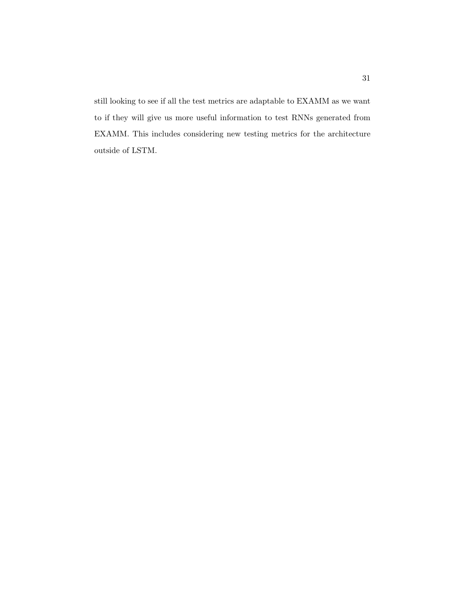still looking to see if all the test metrics are adaptable to EXAMM as we want to if they will give us more useful information to test RNNs generated from EXAMM. This includes considering new testing metrics for the architecture outside of LSTM.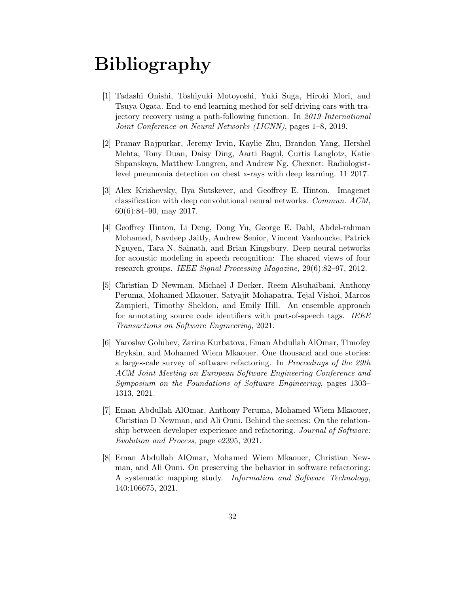## Bibliography

- <span id="page-41-0"></span>[1] Tadashi Onishi, Toshiyuki Motoyoshi, Yuki Suga, Hiroki Mori, and Tsuya Ogata. End-to-end learning method for self-driving cars with trajectory recovery using a path-following function. In 2019 International Joint Conference on Neural Networks (IJCNN), pages 1–8, 2019.
- <span id="page-41-1"></span>[2] Pranav Rajpurkar, Jeremy Irvin, Kaylie Zhu, Brandon Yang, Hershel Mehta, Tony Duan, Daisy Ding, Aarti Bagul, Curtis Langlotz, Katie Shpanskaya, Matthew Lungren, and Andrew Ng. Chexnet: Radiologistlevel pneumonia detection on chest x-rays with deep learning. 11 2017.
- <span id="page-41-2"></span>[3] Alex Krizhevsky, Ilya Sutskever, and Geoffrey E. Hinton. Imagenet classification with deep convolutional neural networks. Commun. ACM, 60(6):84–90, may 2017.
- <span id="page-41-3"></span>[4] Geoffrey Hinton, Li Deng, Dong Yu, George E. Dahl, Abdel-rahman Mohamed, Navdeep Jaitly, Andrew Senior, Vincent Vanhoucke, Patrick Nguyen, Tara N. Sainath, and Brian Kingsbury. Deep neural networks for acoustic modeling in speech recognition: The shared views of four research groups. IEEE Signal Processing Magazine, 29(6):82–97, 2012.
- <span id="page-41-4"></span>[5] Christian D Newman, Michael J Decker, Reem Alsuhaibani, Anthony Peruma, Mohamed Mkaouer, Satyajit Mohapatra, Tejal Vishoi, Marcos Zampieri, Timothy Sheldon, and Emily Hill. An ensemble approach for annotating source code identifiers with part-of-speech tags. IEEE Transactions on Software Engineering, 2021.
- [6] Yaroslav Golubev, Zarina Kurbatova, Eman Abdullah AlOmar, Timofey Bryksin, and Mohamed Wiem Mkaouer. One thousand and one stories: a large-scale survey of software refactoring. In Proceedings of the 29th ACM Joint Meeting on European Software Engineering Conference and Symposium on the Foundations of Software Engineering, pages 1303– 1313, 2021.
- [7] Eman Abdullah AlOmar, Anthony Peruma, Mohamed Wiem Mkaouer, Christian D Newman, and Ali Ouni. Behind the scenes: On the relationship between developer experience and refactoring. Journal of Software: Evolution and Process, page e2395, 2021.
- [8] Eman Abdullah AlOmar, Mohamed Wiem Mkaouer, Christian Newman, and Ali Ouni. On preserving the behavior in software refactoring: A systematic mapping study. Information and Software Technology, 140:106675, 2021.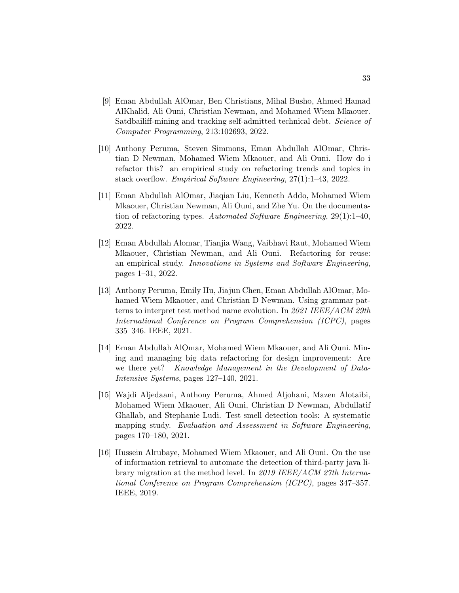- [9] Eman Abdullah AlOmar, Ben Christians, Mihal Busho, Ahmed Hamad AlKhalid, Ali Ouni, Christian Newman, and Mohamed Wiem Mkaouer. Satdbailiff-mining and tracking self-admitted technical debt. Science of Computer Programming, 213:102693, 2022.
- [10] Anthony Peruma, Steven Simmons, Eman Abdullah AlOmar, Christian D Newman, Mohamed Wiem Mkaouer, and Ali Ouni. How do i refactor this? an empirical study on refactoring trends and topics in stack overflow. Empirical Software Engineering, 27(1):1–43, 2022.
- [11] Eman Abdullah AlOmar, Jiaqian Liu, Kenneth Addo, Mohamed Wiem Mkaouer, Christian Newman, Ali Ouni, and Zhe Yu. On the documentation of refactoring types. Automated Software Engineering, 29(1):1–40, 2022.
- [12] Eman Abdullah Alomar, Tianjia Wang, Vaibhavi Raut, Mohamed Wiem Mkaouer, Christian Newman, and Ali Ouni. Refactoring for reuse: an empirical study. Innovations in Systems and Software Engineering, pages 1–31, 2022.
- [13] Anthony Peruma, Emily Hu, Jiajun Chen, Eman Abdullah AlOmar, Mohamed Wiem Mkaouer, and Christian D Newman. Using grammar patterns to interpret test method name evolution. In 2021 IEEE/ACM 29th International Conference on Program Comprehension (ICPC), pages 335–346. IEEE, 2021.
- [14] Eman Abdullah AlOmar, Mohamed Wiem Mkaouer, and Ali Ouni. Mining and managing big data refactoring for design improvement: Are we there yet? Knowledge Management in the Development of Data-Intensive Systems, pages 127–140, 2021.
- [15] Wajdi Aljedaani, Anthony Peruma, Ahmed Aljohani, Mazen Alotaibi, Mohamed Wiem Mkaouer, Ali Ouni, Christian D Newman, Abdullatif Ghallab, and Stephanie Ludi. Test smell detection tools: A systematic mapping study. Evaluation and Assessment in Software Engineering, pages 170–180, 2021.
- [16] Hussein Alrubaye, Mohamed Wiem Mkaouer, and Ali Ouni. On the use of information retrieval to automate the detection of third-party java library migration at the method level. In 2019 IEEE/ACM 27th International Conference on Program Comprehension (ICPC), pages 347–357. IEEE, 2019.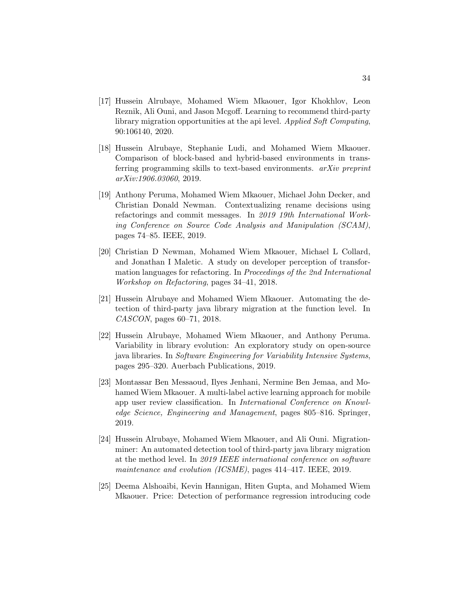- [17] Hussein Alrubaye, Mohamed Wiem Mkaouer, Igor Khokhlov, Leon Reznik, Ali Ouni, and Jason Mcgoff. Learning to recommend third-party library migration opportunities at the api level. Applied Soft Computing, 90:106140, 2020.
- [18] Hussein Alrubaye, Stephanie Ludi, and Mohamed Wiem Mkaouer. Comparison of block-based and hybrid-based environments in transferring programming skills to text-based environments. arXiv preprint arXiv:1906.03060, 2019.
- [19] Anthony Peruma, Mohamed Wiem Mkaouer, Michael John Decker, and Christian Donald Newman. Contextualizing rename decisions using refactorings and commit messages. In 2019 19th International Working Conference on Source Code Analysis and Manipulation (SCAM), pages 74–85. IEEE, 2019.
- [20] Christian D Newman, Mohamed Wiem Mkaouer, Michael L Collard, and Jonathan I Maletic. A study on developer perception of transformation languages for refactoring. In Proceedings of the 2nd International Workshop on Refactoring, pages 34–41, 2018.
- [21] Hussein Alrubaye and Mohamed Wiem Mkaouer. Automating the detection of third-party java library migration at the function level. In CASCON, pages 60–71, 2018.
- [22] Hussein Alrubaye, Mohamed Wiem Mkaouer, and Anthony Peruma. Variability in library evolution: An exploratory study on open-source java libraries. In Software Engineering for Variability Intensive Systems, pages 295–320. Auerbach Publications, 2019.
- [23] Montassar Ben Messaoud, Ilyes Jenhani, Nermine Ben Jemaa, and Mohamed Wiem Mkaouer. A multi-label active learning approach for mobile app user review classification. In International Conference on Knowledge Science, Engineering and Management, pages 805–816. Springer, 2019.
- [24] Hussein Alrubaye, Mohamed Wiem Mkaouer, and Ali Ouni. Migrationminer: An automated detection tool of third-party java library migration at the method level. In 2019 IEEE international conference on software maintenance and evolution (ICSME), pages 414–417. IEEE, 2019.
- [25] Deema Alshoaibi, Kevin Hannigan, Hiten Gupta, and Mohamed Wiem Mkaouer. Price: Detection of performance regression introducing code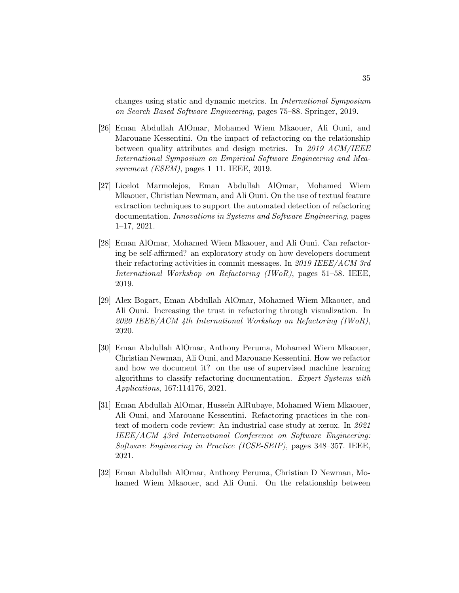changes using static and dynamic metrics. In International Symposium on Search Based Software Engineering, pages 75–88. Springer, 2019.

- [26] Eman Abdullah AlOmar, Mohamed Wiem Mkaouer, Ali Ouni, and Marouane Kessentini. On the impact of refactoring on the relationship between quality attributes and design metrics. In 2019 ACM/IEEE International Symposium on Empirical Software Engineering and Measurement (ESEM), pages 1–11. IEEE, 2019.
- [27] Licelot Marmolejos, Eman Abdullah AlOmar, Mohamed Wiem Mkaouer, Christian Newman, and Ali Ouni. On the use of textual feature extraction techniques to support the automated detection of refactoring documentation. Innovations in Systems and Software Engineering, pages 1–17, 2021.
- [28] Eman AlOmar, Mohamed Wiem Mkaouer, and Ali Ouni. Can refactoring be self-affirmed? an exploratory study on how developers document their refactoring activities in commit messages. In 2019 IEEE/ACM 3rd International Workshop on Refactoring (IWoR), pages 51–58. IEEE, 2019.
- [29] Alex Bogart, Eman Abdullah AlOmar, Mohamed Wiem Mkaouer, and Ali Ouni. Increasing the trust in refactoring through visualization. In 2020 IEEE/ACM 4th International Workshop on Refactoring (IWoR), 2020.
- [30] Eman Abdullah AlOmar, Anthony Peruma, Mohamed Wiem Mkaouer, Christian Newman, Ali Ouni, and Marouane Kessentini. How we refactor and how we document it? on the use of supervised machine learning algorithms to classify refactoring documentation. Expert Systems with Applications, 167:114176, 2021.
- [31] Eman Abdullah AlOmar, Hussein AlRubaye, Mohamed Wiem Mkaouer, Ali Ouni, and Marouane Kessentini. Refactoring practices in the context of modern code review: An industrial case study at xerox. In 2021 IEEE/ACM 43rd International Conference on Software Engineering: Software Engineering in Practice (ICSE-SEIP), pages 348–357. IEEE, 2021.
- [32] Eman Abdullah AlOmar, Anthony Peruma, Christian D Newman, Mohamed Wiem Mkaouer, and Ali Ouni. On the relationship between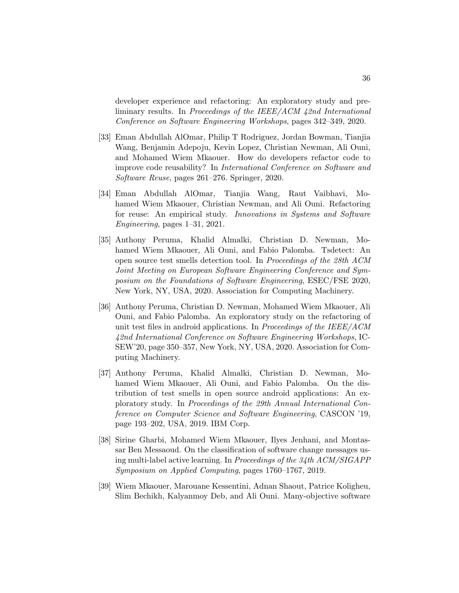developer experience and refactoring: An exploratory study and preliminary results. In Proceedings of the IEEE/ACM 42nd International Conference on Software Engineering Workshops, pages 342–349, 2020.

- [33] Eman Abdullah AlOmar, Philip T Rodriguez, Jordan Bowman, Tianjia Wang, Benjamin Adepoju, Kevin Lopez, Christian Newman, Ali Ouni, and Mohamed Wiem Mkaouer. How do developers refactor code to improve code reusability? In International Conference on Software and Software Reuse, pages 261–276. Springer, 2020.
- [34] Eman Abdullah AlOmar, Tianjia Wang, Raut Vaibhavi, Mohamed Wiem Mkaouer, Christian Newman, and Ali Ouni. Refactoring for reuse: An empirical study. Innovations in Systems and Software Engineering, pages 1–31, 2021.
- [35] Anthony Peruma, Khalid Almalki, Christian D. Newman, Mohamed Wiem Mkaouer, Ali Ouni, and Fabio Palomba. Tsdetect: An open source test smells detection tool. In Proceedings of the 28th ACM Joint Meeting on European Software Engineering Conference and Symposium on the Foundations of Software Engineering, ESEC/FSE 2020, New York, NY, USA, 2020. Association for Computing Machinery.
- [36] Anthony Peruma, Christian D. Newman, Mohamed Wiem Mkaouer, Ali Ouni, and Fabio Palomba. An exploratory study on the refactoring of unit test files in android applications. In Proceedings of the IEEE/ACM 42nd International Conference on Software Engineering Workshops, IC-SEW'20, page 350–357, New York, NY, USA, 2020. Association for Computing Machinery.
- [37] Anthony Peruma, Khalid Almalki, Christian D. Newman, Mohamed Wiem Mkaouer, Ali Ouni, and Fabio Palomba. On the distribution of test smells in open source android applications: An exploratory study. In Proceedings of the 29th Annual International Conference on Computer Science and Software Engineering, CASCON '19, page 193–202, USA, 2019. IBM Corp.
- [38] Sirine Gharbi, Mohamed Wiem Mkaouer, Ilyes Jenhani, and Montassar Ben Messaoud. On the classification of software change messages using multi-label active learning. In Proceedings of the 34th ACM/SIGAPP Symposium on Applied Computing, pages 1760–1767, 2019.
- [39] Wiem Mkaouer, Marouane Kessentini, Adnan Shaout, Patrice Koligheu, Slim Bechikh, Kalyanmoy Deb, and Ali Ouni. Many-objective software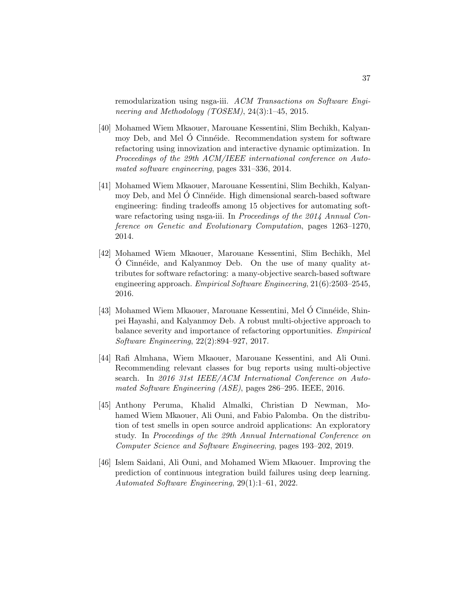remodularization using nsga-iii. ACM Transactions on Software Engineering and Methodology (TOSEM), 24(3):1-45, 2015.

- [40] Mohamed Wiem Mkaouer, Marouane Kessentini, Slim Bechikh, Kalyanmoy Deb, and Mel O Cinnéide. Recommendation system for software refactoring using innovization and interactive dynamic optimization. In Proceedings of the 29th ACM/IEEE international conference on Automated software engineering, pages 331–336, 2014.
- [41] Mohamed Wiem Mkaouer, Marouane Kessentini, Slim Bechikh, Kalyanmoy Deb, and Mel Ó Cinnéide. High dimensional search-based software engineering: finding tradeoffs among 15 objectives for automating software refactoring using nsga-iii. In *Proceedings of the 2014 Annual Con*ference on Genetic and Evolutionary Computation, pages 1263–1270, 2014.
- [42] Mohamed Wiem Mkaouer, Marouane Kessentini, Slim Bechikh, Mel O Cinnéide, and Kalyanmoy Deb. On the use of many quality attributes for software refactoring: a many-objective search-based software engineering approach. Empirical Software Engineering, 21(6):2503–2545, 2016.
- [43] Mohamed Wiem Mkaouer, Marouane Kessentini, Mel Ó Cinnéide, Shinpei Hayashi, and Kalyanmoy Deb. A robust multi-objective approach to balance severity and importance of refactoring opportunities. Empirical Software Engineering, 22(2):894–927, 2017.
- [44] Rafi Almhana, Wiem Mkaouer, Marouane Kessentini, and Ali Ouni. Recommending relevant classes for bug reports using multi-objective search. In 2016 31st IEEE/ACM International Conference on Automated Software Engineering (ASE), pages 286–295. IEEE, 2016.
- [45] Anthony Peruma, Khalid Almalki, Christian D Newman, Mohamed Wiem Mkaouer, Ali Ouni, and Fabio Palomba. On the distribution of test smells in open source android applications: An exploratory study. In Proceedings of the 29th Annual International Conference on Computer Science and Software Engineering, pages 193–202, 2019.
- [46] Islem Saidani, Ali Ouni, and Mohamed Wiem Mkaouer. Improving the prediction of continuous integration build failures using deep learning. Automated Software Engineering, 29(1):1–61, 2022.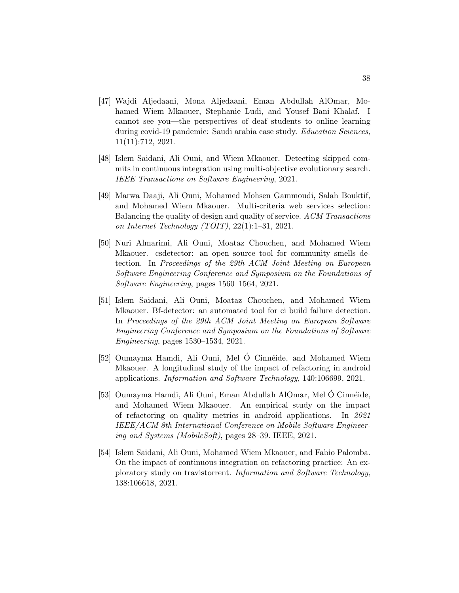- [47] Wajdi Aljedaani, Mona Aljedaani, Eman Abdullah AlOmar, Mohamed Wiem Mkaouer, Stephanie Ludi, and Yousef Bani Khalaf. I cannot see you—the perspectives of deaf students to online learning during covid-19 pandemic: Saudi arabia case study. *Education Sciences*, 11(11):712, 2021.
- [48] Islem Saidani, Ali Ouni, and Wiem Mkaouer. Detecting skipped commits in continuous integration using multi-objective evolutionary search. IEEE Transactions on Software Engineering, 2021.
- [49] Marwa Daaji, Ali Ouni, Mohamed Mohsen Gammoudi, Salah Bouktif, and Mohamed Wiem Mkaouer. Multi-criteria web services selection: Balancing the quality of design and quality of service. ACM Transactions on Internet Technology (TOIT), 22(1):1–31, 2021.
- [50] Nuri Almarimi, Ali Ouni, Moataz Chouchen, and Mohamed Wiem Mkaouer. csdetector: an open source tool for community smells detection. In Proceedings of the 29th ACM Joint Meeting on European Software Engineering Conference and Symposium on the Foundations of Software Engineering, pages 1560–1564, 2021.
- [51] Islem Saidani, Ali Ouni, Moataz Chouchen, and Mohamed Wiem Mkaouer. Bf-detector: an automated tool for ci build failure detection. In Proceedings of the 29th ACM Joint Meeting on European Software Engineering Conference and Symposium on the Foundations of Software Engineering, pages 1530–1534, 2021.
- [52] Oumayma Hamdi, Ali Ouni, Mel Ó Cinnéide, and Mohamed Wiem Mkaouer. A longitudinal study of the impact of refactoring in android applications. Information and Software Technology, 140:106699, 2021.
- [53] Oumayma Hamdi, Ali Ouni, Eman Abdullah AlOmar, Mel O Cinn´eide, ´ and Mohamed Wiem Mkaouer. An empirical study on the impact of refactoring on quality metrics in android applications. In 2021 IEEE/ACM 8th International Conference on Mobile Software Engineering and Systems (MobileSoft), pages 28–39. IEEE, 2021.
- [54] Islem Saidani, Ali Ouni, Mohamed Wiem Mkaouer, and Fabio Palomba. On the impact of continuous integration on refactoring practice: An exploratory study on travistorrent. Information and Software Technology, 138:106618, 2021.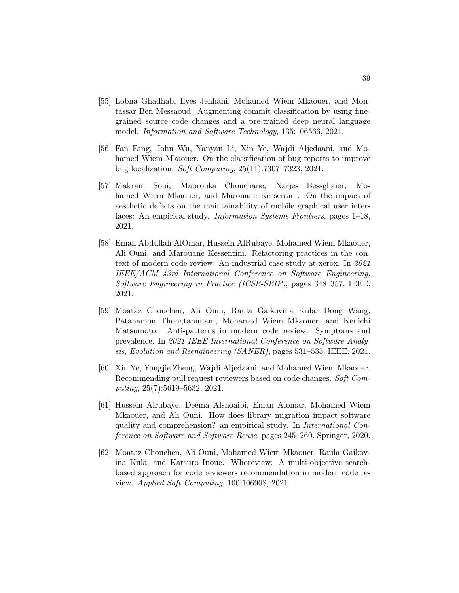- [55] Lobna Ghadhab, Ilyes Jenhani, Mohamed Wiem Mkaouer, and Montassar Ben Messaoud. Augmenting commit classification by using finegrained source code changes and a pre-trained deep neural language model. Information and Software Technology, 135:106566, 2021.
- [56] Fan Fang, John Wu, Yanyan Li, Xin Ye, Wajdi Aljedaani, and Mohamed Wiem Mkaouer. On the classification of bug reports to improve bug localization. Soft Computing, 25(11):7307–7323, 2021.
- [57] Makram Soui, Mabrouka Chouchane, Narjes Bessghaier, Mohamed Wiem Mkaouer, and Marouane Kessentini. On the impact of aesthetic defects on the maintainability of mobile graphical user interfaces: An empirical study. *Information Systems Frontiers*, pages 1–18, 2021.
- [58] Eman Abdullah AlOmar, Hussein AlRubaye, Mohamed Wiem Mkaouer, Ali Ouni, and Marouane Kessentini. Refactoring practices in the context of modern code review: An industrial case study at xerox. In 2021 IEEE/ACM 43rd International Conference on Software Engineering: Software Engineering in Practice (ICSE-SEIP), pages 348–357. IEEE, 2021.
- [59] Moataz Chouchen, Ali Ouni, Raula Gaikovina Kula, Dong Wang, Patanamon Thongtanunam, Mohamed Wiem Mkaouer, and Kenichi Matsumoto. Anti-patterns in modern code review: Symptoms and prevalence. In 2021 IEEE International Conference on Software Analysis, Evolution and Reengineering (SANER), pages 531–535. IEEE, 2021.
- [60] Xin Ye, Yongjie Zheng, Wajdi Aljedaani, and Mohamed Wiem Mkaouer. Recommending pull request reviewers based on code changes. Soft Computing, 25(7):5619–5632, 2021.
- [61] Hussein Alrubaye, Deema Alshoaibi, Eman Alomar, Mohamed Wiem Mkaouer, and Ali Ouni. How does library migration impact software quality and comprehension? an empirical study. In International Conference on Software and Software Reuse, pages 245–260. Springer, 2020.
- [62] Moataz Chouchen, Ali Ouni, Mohamed Wiem Mkaouer, Raula Gaikovina Kula, and Katsuro Inoue. Whoreview: A multi-objective searchbased approach for code reviewers recommendation in modern code review. Applied Soft Computing, 100:106908, 2021.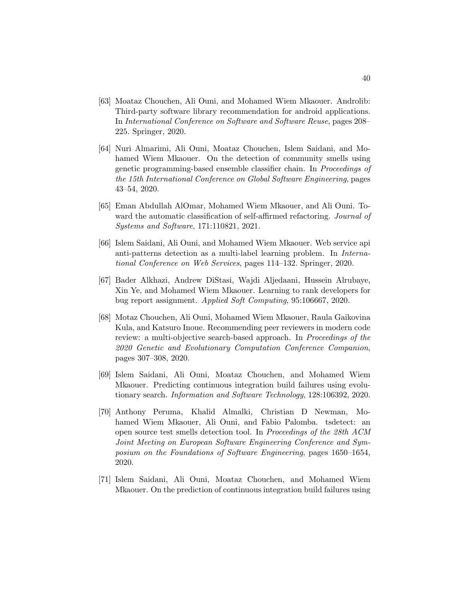- [63] Moataz Chouchen, Ali Ouni, and Mohamed Wiem Mkaouer. Androlib: Third-party software library recommendation for android applications. In International Conference on Software and Software Reuse, pages 208– 225. Springer, 2020.
- [64] Nuri Almarimi, Ali Ouni, Moataz Chouchen, Islem Saidani, and Mohamed Wiem Mkaouer. On the detection of community smells using genetic programming-based ensemble classifier chain. In Proceedings of the 15th International Conference on Global Software Engineering, pages 43–54, 2020.
- [65] Eman Abdullah AlOmar, Mohamed Wiem Mkaouer, and Ali Ouni. Toward the automatic classification of self-affirmed refactoring. *Journal of* Systems and Software, 171:110821, 2021.
- [66] Islem Saidani, Ali Ouni, and Mohamed Wiem Mkaouer. Web service api anti-patterns detection as a multi-label learning problem. In International Conference on Web Services, pages 114–132. Springer, 2020.
- [67] Bader Alkhazi, Andrew DiStasi, Wajdi Aljedaani, Hussein Alrubaye, Xin Ye, and Mohamed Wiem Mkaouer. Learning to rank developers for bug report assignment. Applied Soft Computing, 95:106667, 2020.
- [68] Motaz Chouchen, Ali Ouni, Mohamed Wiem Mkaouer, Raula Gaikovina Kula, and Katsuro Inoue. Recommending peer reviewers in modern code review: a multi-objective search-based approach. In Proceedings of the 2020 Genetic and Evolutionary Computation Conference Companion, pages 307–308, 2020.
- [69] Islem Saidani, Ali Ouni, Moataz Chouchen, and Mohamed Wiem Mkaouer. Predicting continuous integration build failures using evolutionary search. Information and Software Technology, 128:106392, 2020.
- [70] Anthony Peruma, Khalid Almalki, Christian D Newman, Mohamed Wiem Mkaouer, Ali Ouni, and Fabio Palomba. tsdetect: an open source test smells detection tool. In Proceedings of the 28th ACM Joint Meeting on European Software Engineering Conference and Symposium on the Foundations of Software Engineering, pages 1650–1654, 2020.
- [71] Islem Saidani, Ali Ouni, Moataz Chouchen, and Mohamed Wiem Mkaouer. On the prediction of continuous integration build failures using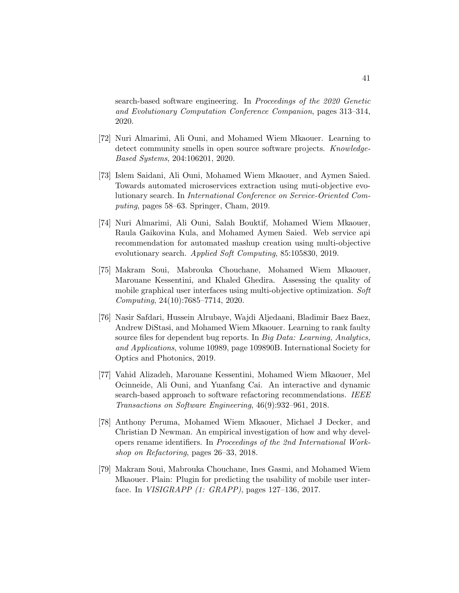search-based software engineering. In Proceedings of the 2020 Genetic and Evolutionary Computation Conference Companion, pages 313–314, 2020.

- [72] Nuri Almarimi, Ali Ouni, and Mohamed Wiem Mkaouer. Learning to detect community smells in open source software projects. Knowledge-Based Systems, 204:106201, 2020.
- [73] Islem Saidani, Ali Ouni, Mohamed Wiem Mkaouer, and Aymen Saied. Towards automated microservices extraction using muti-objective evolutionary search. In International Conference on Service-Oriented Computing, pages 58–63. Springer, Cham, 2019.
- [74] Nuri Almarimi, Ali Ouni, Salah Bouktif, Mohamed Wiem Mkaouer, Raula Gaikovina Kula, and Mohamed Aymen Saied. Web service api recommendation for automated mashup creation using multi-objective evolutionary search. Applied Soft Computing, 85:105830, 2019.
- [75] Makram Soui, Mabrouka Chouchane, Mohamed Wiem Mkaouer, Marouane Kessentini, and Khaled Ghedira. Assessing the quality of mobile graphical user interfaces using multi-objective optimization. Soft Computing, 24(10):7685–7714, 2020.
- [76] Nasir Safdari, Hussein Alrubaye, Wajdi Aljedaani, Bladimir Baez Baez, Andrew DiStasi, and Mohamed Wiem Mkaouer. Learning to rank faulty source files for dependent bug reports. In Big Data: Learning, Analytics, and Applications, volume 10989, page 109890B. International Society for Optics and Photonics, 2019.
- [77] Vahid Alizadeh, Marouane Kessentini, Mohamed Wiem Mkaouer, Mel Ocinneide, Ali Ouni, and Yuanfang Cai. An interactive and dynamic search-based approach to software refactoring recommendations. IEEE Transactions on Software Engineering, 46(9):932–961, 2018.
- [78] Anthony Peruma, Mohamed Wiem Mkaouer, Michael J Decker, and Christian D Newman. An empirical investigation of how and why developers rename identifiers. In Proceedings of the 2nd International Workshop on Refactoring, pages 26–33, 2018.
- [79] Makram Soui, Mabrouka Chouchane, Ines Gasmi, and Mohamed Wiem Mkaouer. Plain: Plugin for predicting the usability of mobile user interface. In VISIGRAPP (1: GRAPP), pages 127–136, 2017.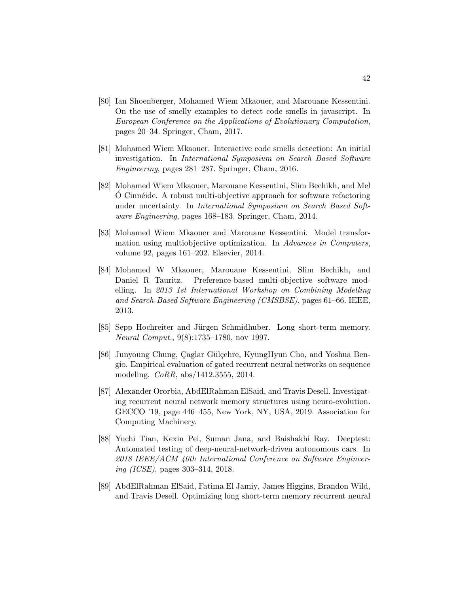- [80] Ian Shoenberger, Mohamed Wiem Mkaouer, and Marouane Kessentini. On the use of smelly examples to detect code smells in javascript. In European Conference on the Applications of Evolutionary Computation, pages 20–34. Springer, Cham, 2017.
- [81] Mohamed Wiem Mkaouer. Interactive code smells detection: An initial investigation. In International Symposium on Search Based Software Engineering, pages 281–287. Springer, Cham, 2016.
- [82] Mohamed Wiem Mkaouer, Marouane Kessentini, Slim Bechikh, and Mel O Cinnéide. A robust multi-objective approach for software refactoring under uncertainty. In International Symposium on Search Based Software Engineering, pages 168–183. Springer, Cham, 2014.
- [83] Mohamed Wiem Mkaouer and Marouane Kessentini. Model transformation using multiobjective optimization. In Advances in Computers, volume 92, pages 161–202. Elsevier, 2014.
- <span id="page-51-0"></span>[84] Mohamed W Mkaouer, Marouane Kessentini, Slim Bechikh, and Daniel R Tauritz. Preference-based multi-objective software modelling. In 2013 1st International Workshop on Combining Modelling and Search-Based Software Engineering (CMSBSE), pages 61–66. IEEE, 2013.
- <span id="page-51-1"></span>[85] Sepp Hochreiter and Jürgen Schmidhuber. Long short-term memory. Neural Comput., 9(8):1735–1780, nov 1997.
- <span id="page-51-2"></span>[86] Junyoung Chung, Çaglar Gülçehre, KyungHyun Cho, and Yoshua Bengio. Empirical evaluation of gated recurrent neural networks on sequence modeling. CoRR, abs/1412.3555, 2014.
- <span id="page-51-3"></span>[87] Alexander Ororbia, AbdElRahman ElSaid, and Travis Desell. Investigating recurrent neural network memory structures using neuro-evolution. GECCO '19, page 446–455, New York, NY, USA, 2019. Association for Computing Machinery.
- <span id="page-51-4"></span>[88] Yuchi Tian, Kexin Pei, Suman Jana, and Baishakhi Ray. Deeptest: Automated testing of deep-neural-network-driven autonomous cars. In 2018 IEEE/ACM 40th International Conference on Software Engineering (ICSE), pages 303–314, 2018.
- <span id="page-51-5"></span>[89] AbdElRahman ElSaid, Fatima El Jamiy, James Higgins, Brandon Wild, and Travis Desell. Optimizing long short-term memory recurrent neural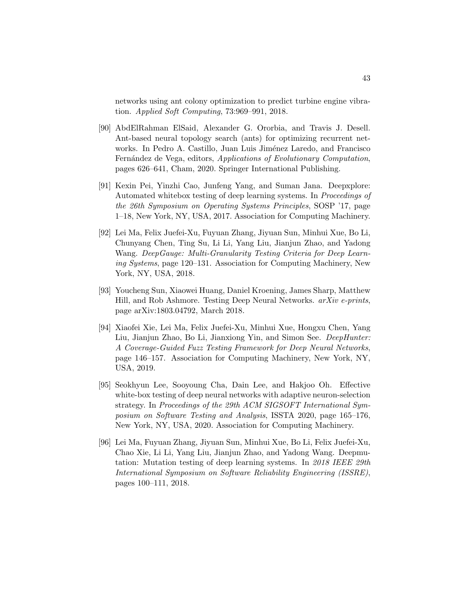networks using ant colony optimization to predict turbine engine vibration. Applied Soft Computing, 73:969–991, 2018.

- <span id="page-52-0"></span>[90] AbdElRahman ElSaid, Alexander G. Ororbia, and Travis J. Desell. Ant-based neural topology search (ants) for optimizing recurrent networks. In Pedro A. Castillo, Juan Luis Jiménez Laredo, and Francisco Fernández de Vega, editors, Applications of Evolutionary Computation, pages 626–641, Cham, 2020. Springer International Publishing.
- <span id="page-52-1"></span>[91] Kexin Pei, Yinzhi Cao, Junfeng Yang, and Suman Jana. Deepxplore: Automated whitebox testing of deep learning systems. In Proceedings of the 26th Symposium on Operating Systems Principles, SOSP '17, page 1–18, New York, NY, USA, 2017. Association for Computing Machinery.
- <span id="page-52-2"></span>[92] Lei Ma, Felix Juefei-Xu, Fuyuan Zhang, Jiyuan Sun, Minhui Xue, Bo Li, Chunyang Chen, Ting Su, Li Li, Yang Liu, Jianjun Zhao, and Yadong Wang. DeepGauge: Multi-Granularity Testing Criteria for Deep Learning Systems, page 120–131. Association for Computing Machinery, New York, NY, USA, 2018.
- <span id="page-52-3"></span>[93] Youcheng Sun, Xiaowei Huang, Daniel Kroening, James Sharp, Matthew Hill, and Rob Ashmore. Testing Deep Neural Networks. arXiv e-prints, page arXiv:1803.04792, March 2018.
- <span id="page-52-4"></span>[94] Xiaofei Xie, Lei Ma, Felix Juefei-Xu, Minhui Xue, Hongxu Chen, Yang Liu, Jianjun Zhao, Bo Li, Jianxiong Yin, and Simon See. DeepHunter: A Coverage-Guided Fuzz Testing Framework for Deep Neural Networks, page 146–157. Association for Computing Machinery, New York, NY, USA, 2019.
- <span id="page-52-5"></span>[95] Seokhyun Lee, Sooyoung Cha, Dain Lee, and Hakjoo Oh. Effective white-box testing of deep neural networks with adaptive neuron-selection strategy. In Proceedings of the 29th ACM SIGSOFT International Symposium on Software Testing and Analysis, ISSTA 2020, page 165–176, New York, NY, USA, 2020. Association for Computing Machinery.
- <span id="page-52-6"></span>[96] Lei Ma, Fuyuan Zhang, Jiyuan Sun, Minhui Xue, Bo Li, Felix Juefei-Xu, Chao Xie, Li Li, Yang Liu, Jianjun Zhao, and Yadong Wang. Deepmutation: Mutation testing of deep learning systems. In 2018 IEEE 29th International Symposium on Software Reliability Engineering (ISSRE), pages 100–111, 2018.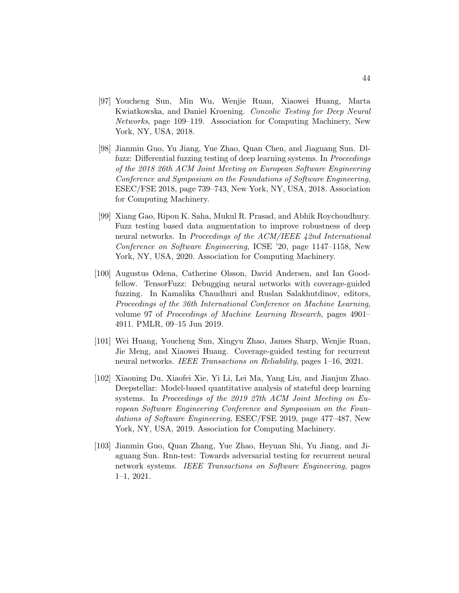- <span id="page-53-0"></span>[97] Youcheng Sun, Min Wu, Wenjie Ruan, Xiaowei Huang, Marta Kwiatkowska, and Daniel Kroening. Concolic Testing for Deep Neural Networks, page 109–119. Association for Computing Machinery, New York, NY, USA, 2018.
- <span id="page-53-1"></span>[98] Jianmin Guo, Yu Jiang, Yue Zhao, Quan Chen, and Jiaguang Sun. Dlfuzz: Differential fuzzing testing of deep learning systems. In *Proceedings* of the 2018 26th ACM Joint Meeting on European Software Engineering Conference and Symposium on the Foundations of Software Engineering, ESEC/FSE 2018, page 739–743, New York, NY, USA, 2018. Association for Computing Machinery.
- <span id="page-53-2"></span>[99] Xiang Gao, Ripon K. Saha, Mukul R. Prasad, and Abhik Roychoudhury. Fuzz testing based data augmentation to improve robustness of deep neural networks. In Proceedings of the ACM/IEEE 42nd International Conference on Software Engineering, ICSE '20, page 1147–1158, New York, NY, USA, 2020. Association for Computing Machinery.
- <span id="page-53-3"></span>[100] Augustus Odena, Catherine Olsson, David Andersen, and Ian Goodfellow. TensorFuzz: Debugging neural networks with coverage-guided fuzzing. In Kamalika Chaudhuri and Ruslan Salakhutdinov, editors, Proceedings of the 36th International Conference on Machine Learning, volume 97 of Proceedings of Machine Learning Research, pages 4901– 4911. PMLR, 09–15 Jun 2019.
- <span id="page-53-4"></span>[101] Wei Huang, Youcheng Sun, Xingyu Zhao, James Sharp, Wenjie Ruan, Jie Meng, and Xiaowei Huang. Coverage-guided testing for recurrent neural networks. IEEE Transactions on Reliability, pages 1–16, 2021.
- <span id="page-53-5"></span>[102] Xiaoning Du, Xiaofei Xie, Yi Li, Lei Ma, Yang Liu, and Jianjun Zhao. Deepstellar: Model-based quantitative analysis of stateful deep learning systems. In Proceedings of the 2019 27th ACM Joint Meeting on European Software Engineering Conference and Symposium on the Foundations of Software Engineering, ESEC/FSE 2019, page 477–487, New York, NY, USA, 2019. Association for Computing Machinery.
- <span id="page-53-6"></span>[103] Jianmin Guo, Quan Zhang, Yue Zhao, Heyuan Shi, Yu Jiang, and Jiaguang Sun. Rnn-test: Towards adversarial testing for recurrent neural network systems. IEEE Transactions on Software Engineering, pages 1–1, 2021.